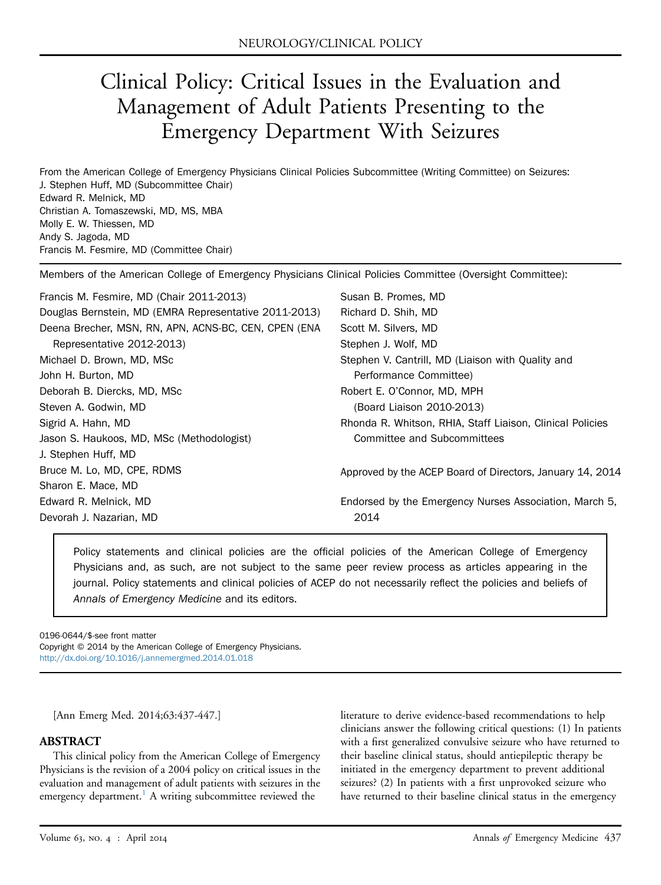# Clinical Policy: Critical Issues in the Evaluation and Management of Adult Patients Presenting to the Emergency Department With Seizures

From the American College of Emergency Physicians Clinical Policies Subcommittee (Writing Committee) on Seizures: J. Stephen Huff, MD (Subcommittee Chair) Edward R. Melnick, MD Christian A. Tomaszewski, MD, MS, MBA Molly E. W. Thiessen, MD Andy S. Jagoda, MD Francis M. Fesmire, MD (Committee Chair)

Members of the American College of Emergency Physicians Clinical Policies Committee (Oversight Committee):

| Francis M. Fesmire, MD (Chair 2011-2013)              | Susan B. Promes, MD                                       |
|-------------------------------------------------------|-----------------------------------------------------------|
| Douglas Bernstein, MD (EMRA Representative 2011-2013) | Richard D. Shih, MD                                       |
| Deena Brecher, MSN, RN, APN, ACNS-BC, CEN, CPEN (ENA  | Scott M. Silvers, MD                                      |
| Representative 2012-2013)                             | Stephen J. Wolf, MD                                       |
| Michael D. Brown, MD, MSc                             | Stephen V. Cantrill, MD (Liaison with Quality and         |
| John H. Burton, MD                                    | Performance Committee)                                    |
| Deborah B. Diercks, MD, MSc                           | Robert E. O'Connor, MD, MPH                               |
| Steven A. Godwin, MD                                  | (Board Liaison 2010-2013)                                 |
| Sigrid A. Hahn, MD                                    | Rhonda R. Whitson, RHIA, Staff Liaison, Clinical Policies |
| Jason S. Haukoos, MD, MSc (Methodologist)             | Committee and Subcommittees                               |
| J. Stephen Huff, MD                                   |                                                           |
| Bruce M. Lo, MD, CPE, RDMS                            | Approved by the ACEP Board of Directors, January 14, 2014 |
| Sharon E. Mace, MD                                    |                                                           |
| Edward R. Melnick, MD                                 | Endorsed by the Emergency Nurses Association, March 5,    |
| Devorah J. Nazarian, MD                               | 2014                                                      |
|                                                       |                                                           |

Policy statements and clinical policies are the official policies of the American College of Emergency Physicians and, as such, are not subject to the same peer review process as articles appearing in the journal. Policy statements and clinical policies of ACEP do not necessarily reflect the policies and beliefs of Annals of Emergency Medicine and its editors.

0196-0644/\$-see front matter

Copyright © 2014 by the American College of Emergency Physicians. <http://dx.doi.org/10.1016/j.annemergmed.2014.01.018>

[Ann Emerg Med. 2014;63:437-447.]

#### ABSTRACT

This clinical policy from the American College of Emergency Physicians is the revision of a 2004 policy on critical issues in the evaluation and management of adult patients with seizures in the emergency department.<sup>[1](#page-8-0)</sup> A writing subcommittee reviewed the

literature to derive evidence-based recommendations to help clinicians answer the following critical questions: (1) In patients with a first generalized convulsive seizure who have returned to their baseline clinical status, should antiepileptic therapy be initiated in the emergency department to prevent additional seizures? (2) In patients with a first unprovoked seizure who have returned to their baseline clinical status in the emergency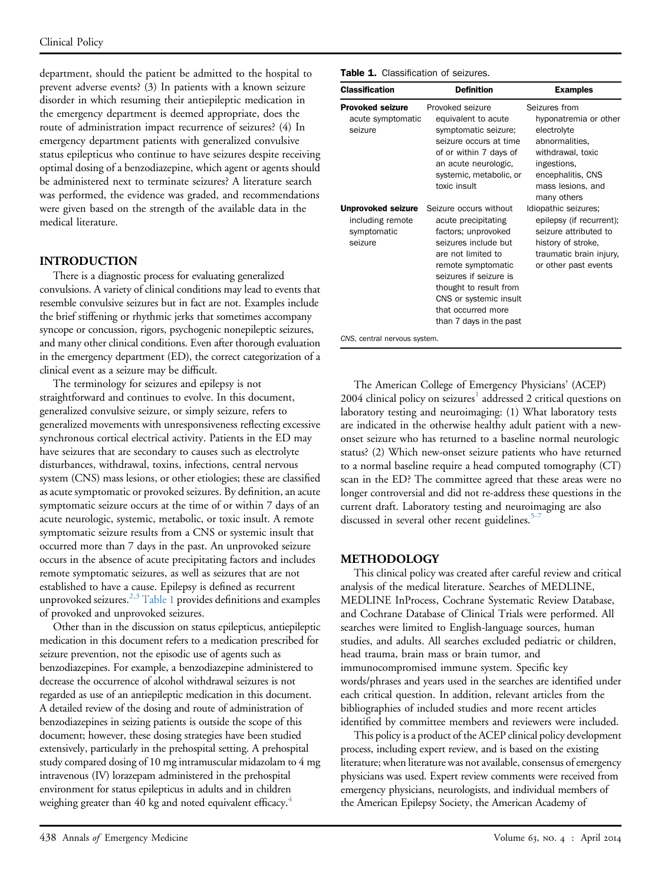department, should the patient be admitted to the hospital to prevent adverse events? (3) In patients with a known seizure disorder in which resuming their antiepileptic medication in the emergency department is deemed appropriate, does the route of administration impact recurrence of seizures? (4) In emergency department patients with generalized convulsive status epilepticus who continue to have seizures despite receiving optimal dosing of a benzodiazepine, which agent or agents should be administered next to terminate seizures? A literature search was performed, the evidence was graded, and recommendations were given based on the strength of the available data in the medical literature.

# **INTRODUCTION**

There is a diagnostic process for evaluating generalized convulsions. A variety of clinical conditions may lead to events that resemble convulsive seizures but in fact are not. Examples include the brief stiffening or rhythmic jerks that sometimes accompany syncope or concussion, rigors, psychogenic nonepileptic seizures, and many other clinical conditions. Even after thorough evaluation in the emergency department (ED), the correct categorization of a clinical event as a seizure may be difficult.

The terminology for seizures and epilepsy is not straightforward and continues to evolve. In this document, generalized convulsive seizure, or simply seizure, refers to generalized movements with unresponsiveness reflecting excessive synchronous cortical electrical activity. Patients in the ED may have seizures that are secondary to causes such as electrolyte disturbances, withdrawal, toxins, infections, central nervous system (CNS) mass lesions, or other etiologies; these are classified as acute symptomatic or provoked seizures. By definition, an acute symptomatic seizure occurs at the time of or within 7 days of an acute neurologic, systemic, metabolic, or toxic insult. A remote symptomatic seizure results from a CNS or systemic insult that occurred more than 7 days in the past. An unprovoked seizure occurs in the absence of acute precipitating factors and includes remote symptomatic seizures, as well as seizures that are not established to have a cause. Epilepsy is defined as recurrent unprovoked seizures.<sup>[2,3](#page-8-1)</sup> [Table 1](#page-1-0) provides definitions and examples of provoked and unprovoked seizures.

Other than in the discussion on status epilepticus, antiepileptic medication in this document refers to a medication prescribed for seizure prevention, not the episodic use of agents such as benzodiazepines. For example, a benzodiazepine administered to decrease the occurrence of alcohol withdrawal seizures is not regarded as use of an antiepileptic medication in this document. A detailed review of the dosing and route of administration of benzodiazepines in seizing patients is outside the scope of this document; however, these dosing strategies have been studied extensively, particularly in the prehospital setting. A prehospital study compared dosing of 10 mg intramuscular midazolam to 4 mg intravenous (IV) lorazepam administered in the prehospital environment for status epilepticus in adults and in children weighing greater than [4](#page-8-2)0 kg and noted equivalent efficacy.<sup>4</sup>

Table 1. Classification of seizures.

| <b>Classification</b>                                                   | <b>Definition</b>                                                                                                                                                                                                                                                       | <b>Examples</b>                                                                                                                                                      |  |  |  |
|-------------------------------------------------------------------------|-------------------------------------------------------------------------------------------------------------------------------------------------------------------------------------------------------------------------------------------------------------------------|----------------------------------------------------------------------------------------------------------------------------------------------------------------------|--|--|--|
| <b>Provoked seizure</b><br>acute symptomatic<br>seizure                 | Provoked seizure<br>equivalent to acute<br>symptomatic seizure;<br>seizure occurs at time<br>of or within 7 days of<br>an acute neurologic,<br>systemic, metabolic, or<br>toxic insult                                                                                  | Seizures from<br>hyponatremia or other<br>electrolyte<br>abnormalities.<br>withdrawal, toxic<br>ingestions,<br>encephalitis, CNS<br>mass lesions, and<br>many others |  |  |  |
| <b>Unprovoked seizure</b><br>including remote<br>symptomatic<br>seizure | Seizure occurs without<br>acute precipitating<br>factors; unprovoked<br>seizures include but<br>are not limited to<br>remote symptomatic<br>seizures if seizure is<br>thought to result from<br>CNS or systemic insult<br>that occurred more<br>than 7 days in the past | Idiopathic seizures;<br>epilepsy (if recurrent);<br>seizure attributed to<br>history of stroke,<br>traumatic brain injury,<br>or other past events                   |  |  |  |
| CNS, central nervous system.                                            |                                                                                                                                                                                                                                                                         |                                                                                                                                                                      |  |  |  |

<span id="page-1-0"></span>The American College of Emergency Physicians' (ACEP)  $2004$  clinical policy on seizures<sup>[1](#page-8-0)</sup> addressed 2 critical questions on laboratory testing and neuroimaging: (1) What laboratory tests are indicated in the otherwise healthy adult patient with a newonset seizure who has returned to a baseline normal neurologic status? (2) Which new-onset seizure patients who have returned to a normal baseline require a head computed tomography (CT) scan in the ED? The committee agreed that these areas were no longer controversial and did not re-address these questions in the current draft. Laboratory testing and neuroimaging are also discussed in several other recent guidelines.<sup>[5-7](#page-8-3)</sup>

### METHODOLOGY

This clinical policy was created after careful review and critical analysis of the medical literature. Searches of MEDLINE, MEDLINE InProcess, Cochrane Systematic Review Database, and Cochrane Database of Clinical Trials were performed. All searches were limited to English-language sources, human studies, and adults. All searches excluded pediatric or children, head trauma, brain mass or brain tumor, and immunocompromised immune system. Specific key words/phrases and years used in the searches are identified under each critical question. In addition, relevant articles from the bibliographies of included studies and more recent articles identified by committee members and reviewers were included.

This policy is a product of the ACEP clinical policy development process, including expert review, and is based on the existing literature; when literature was not available, consensus of emergency physicians was used. Expert review comments were received from emergency physicians, neurologists, and individual members of the American Epilepsy Society, the American Academy of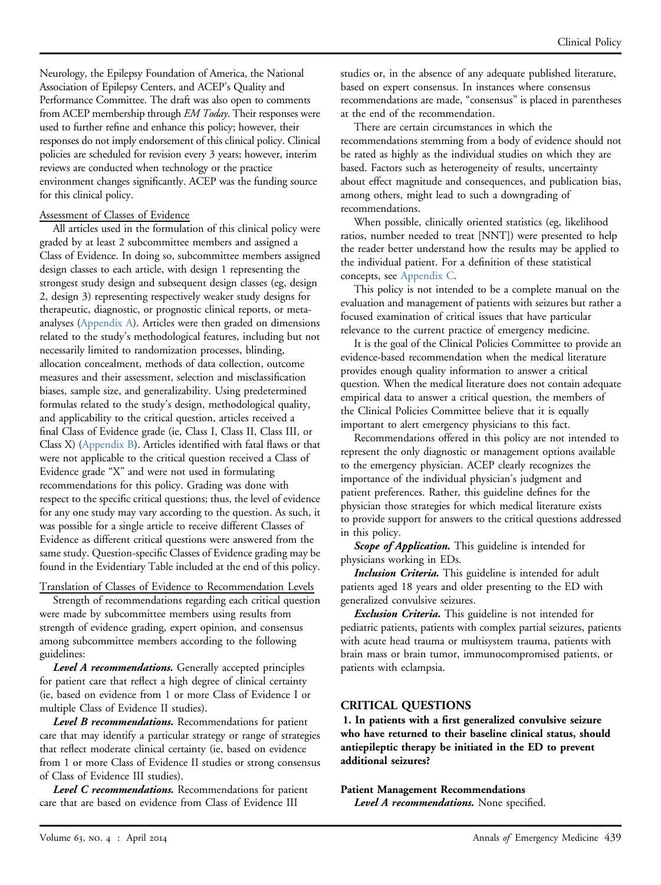Neurology, the Epilepsy Foundation of America, the National Association of Epilepsy Centers, and ACEP's Quality and Performance Committee. The draft was also open to comments from ACEP membership through *EM Today*. Their responses were used to further refine and enhance this policy; however, their responses do not imply endorsement of this clinical policy. Clinical policies are scheduled for revision every 3 years; however, interim reviews are conducted when technology or the practice environment changes significantly. ACEP was the funding source for this clinical policy.

#### Assessment of Classes of Evidence

All articles used in the formulation of this clinical policy were graded by at least 2 subcommittee members and assigned a Class of Evidence. In doing so, subcommittee members assigned design classes to each article, with design 1 representing the strongest study design and subsequent design classes (eg, design 2, design 3) representing respectively weaker study designs for therapeutic, diagnostic, or prognostic clinical reports, or metaanalyses (Appendix A). Articles were then graded on dimensions related to the study's methodological features, including but not necessarily limited to randomization processes, blinding, allocation concealment, methods of data collection, outcome measures and their assessment, selection and misclassification biases, sample size, and generalizability. Using predetermined formulas related to the study's design, methodological quality, and applicability to the critical question, articles received a final Class of Evidence grade (ie, Class I, Class II, Class III, or Class X) (Appendix B). Articles identified with fatal flaws or that were not applicable to the critical question received a Class of Evidence grade "X" and were not used in formulating recommendations for this policy. Grading was done with respect to the specific critical questions; thus, the level of evidence for any one study may vary according to the question. As such, it was possible for a single article to receive different Classes of Evidence as different critical questions were answered from the same study. Question-specific Classes of Evidence grading may be found in the Evidentiary Table included at the end of this policy.

### Translation of Classes of Evidence to Recommendation Levels

Strength of recommendations regarding each critical question were made by subcommittee members using results from strength of evidence grading, expert opinion, and consensus among subcommittee members according to the following guidelines:

Level A recommendations. Generally accepted principles for patient care that reflect a high degree of clinical certainty (ie, based on evidence from 1 or more Class of Evidence I or multiple Class of Evidence II studies).

Level B recommendations. Recommendations for patient care that may identify a particular strategy or range of strategies that reflect moderate clinical certainty (ie, based on evidence from 1 or more Class of Evidence II studies or strong consensus of Class of Evidence III studies).

Level C recommendations. Recommendations for patient care that are based on evidence from Class of Evidence III

studies or, in the absence of any adequate published literature, based on expert consensus. In instances where consensus recommendations are made, "consensus" is placed in parentheses at the end of the recommendation.

There are certain circumstances in which the recommendations stemming from a body of evidence should not be rated as highly as the individual studies on which they are based. Factors such as heterogeneity of results, uncertainty about effect magnitude and consequences, and publication bias, among others, might lead to such a downgrading of recommendations.

When possible, clinically oriented statistics (eg, likelihood ratios, number needed to treat [NNT]) were presented to help the reader better understand how the results may be applied to the individual patient. For a definition of these statistical concepts, see Appendix C.

This policy is not intended to be a complete manual on the evaluation and management of patients with seizures but rather a focused examination of critical issues that have particular relevance to the current practice of emergency medicine.

It is the goal of the Clinical Policies Committee to provide an evidence-based recommendation when the medical literature provides enough quality information to answer a critical question. When the medical literature does not contain adequate empirical data to answer a critical question, the members of the Clinical Policies Committee believe that it is equally important to alert emergency physicians to this fact.

Recommendations offered in this policy are not intended to represent the only diagnostic or management options available to the emergency physician. ACEP clearly recognizes the importance of the individual physician's judgment and patient preferences. Rather, this guideline defines for the physician those strategies for which medical literature exists to provide support for answers to the critical questions addressed in this policy.

Scope of Application. This guideline is intended for physicians working in EDs.

Inclusion Criteria. This guideline is intended for adult patients aged 18 years and older presenting to the ED with generalized convulsive seizures.

**Exclusion Criteria.** This guideline is not intended for pediatric patients, patients with complex partial seizures, patients with acute head trauma or multisystem trauma, patients with brain mass or brain tumor, immunocompromised patients, or patients with eclampsia.

### CRITICAL QUESTIONS

1. In patients with a first generalized convulsive seizure who have returned to their baseline clinical status, should antiepileptic therapy be initiated in the ED to prevent additional seizures?

Patient Management Recommendations

Level A recommendations. None specified.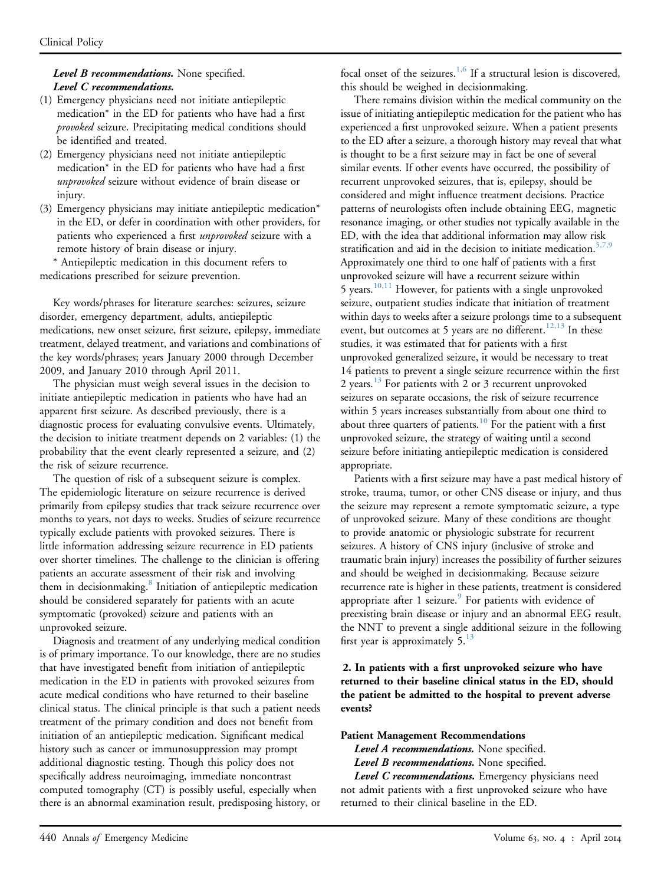# Level B recommendations. None specified. Level C recommendations.

- (1) Emergency physicians need not initiate antiepileptic medication\* in the ED for patients who have had a first provoked seizure. Precipitating medical conditions should be identified and treated.
- (2) Emergency physicians need not initiate antiepileptic medication\* in the ED for patients who have had a first unprovoked seizure without evidence of brain disease or injury.
- (3) Emergency physicians may initiate antiepileptic medication\* in the ED, or defer in coordination with other providers, for patients who experienced a first *unprovoked* seizure with a remote history of brain disease or injury.

\* Antiepileptic medication in this document refers to medications prescribed for seizure prevention.

Key words/phrases for literature searches: seizures, seizure disorder, emergency department, adults, antiepileptic medications, new onset seizure, first seizure, epilepsy, immediate treatment, delayed treatment, and variations and combinations of the key words/phrases; years January 2000 through December 2009, and January 2010 through April 2011.

The physician must weigh several issues in the decision to initiate antiepileptic medication in patients who have had an apparent first seizure. As described previously, there is a diagnostic process for evaluating convulsive events. Ultimately, the decision to initiate treatment depends on 2 variables: (1) the probability that the event clearly represented a seizure, and (2) the risk of seizure recurrence.

The question of risk of a subsequent seizure is complex. The epidemiologic literature on seizure recurrence is derived primarily from epilepsy studies that track seizure recurrence over months to years, not days to weeks. Studies of seizure recurrence typically exclude patients with provoked seizures. There is little information addressing seizure recurrence in ED patients over shorter timelines. The challenge to the clinician is offering patients an accurate assessment of their risk and involving them in decisionmaking.<sup>[8](#page-8-4)</sup> Initiation of antiepileptic medication should be considered separately for patients with an acute symptomatic (provoked) seizure and patients with an unprovoked seizure.

Diagnosis and treatment of any underlying medical condition is of primary importance. To our knowledge, there are no studies that have investigated benefit from initiation of antiepileptic medication in the ED in patients with provoked seizures from acute medical conditions who have returned to their baseline clinical status. The clinical principle is that such a patient needs treatment of the primary condition and does not benefit from initiation of an antiepileptic medication. Significant medical history such as cancer or immunosuppression may prompt additional diagnostic testing. Though this policy does not specifically address neuroimaging, immediate noncontrast computed tomography (CT) is possibly useful, especially when there is an abnormal examination result, predisposing history, or

focal onset of the seizures.<sup>[1,6](#page-8-0)</sup> If a structural lesion is discovered, this should be weighed in decisionmaking.

There remains division within the medical community on the issue of initiating antiepileptic medication for the patient who has experienced a first unprovoked seizure. When a patient presents to the ED after a seizure, a thorough history may reveal that what is thought to be a first seizure may in fact be one of several similar events. If other events have occurred, the possibility of recurrent unprovoked seizures, that is, epilepsy, should be considered and might influence treatment decisions. Practice patterns of neurologists often include obtaining EEG, magnetic resonance imaging, or other studies not typically available in the ED, with the idea that additional information may allow risk stratification and aid in the decision to initiate medication.<sup>[5,7,9](#page-8-3)</sup> Approximately one third to one half of patients with a first unprovoked seizure will have a recurrent seizure within  $5$  years.<sup>[10,11](#page-8-5)</sup> However, for patients with a single unprovoked seizure, outpatient studies indicate that initiation of treatment within days to weeks after a seizure prolongs time to a subsequent event, but outcomes at 5 years are no different.<sup>[12,13](#page-8-6)</sup> In these studies, it was estimated that for patients with a first unprovoked generalized seizure, it would be necessary to treat 14 patients to prevent a single seizure recurrence within the first 2 years.<sup>[13](#page-8-7)</sup> For patients with 2 or 3 recurrent unprovoked seizures on separate occasions, the risk of seizure recurrence within 5 years increases substantially from about one third to about three quarters of patients.<sup>[10](#page-8-5)</sup> For the patient with a first unprovoked seizure, the strategy of waiting until a second seizure before initiating antiepileptic medication is considered appropriate.

Patients with a first seizure may have a past medical history of stroke, trauma, tumor, or other CNS disease or injury, and thus the seizure may represent a remote symptomatic seizure, a type of unprovoked seizure. Many of these conditions are thought to provide anatomic or physiologic substrate for recurrent seizures. A history of CNS injury (inclusive of stroke and traumatic brain injury) increases the possibility of further seizures and should be weighed in decisionmaking. Because seizure recurrence rate is higher in these patients, treatment is considered appropriate after 1 seizure.<sup>[9](#page-8-8)</sup> For patients with evidence of preexisting brain disease or injury and an abnormal EEG result, the NNT to prevent a single additional seizure in the following first year is approximately  $5.^{13}$  $5.^{13}$  $5.^{13}$ 

2. In patients with a first unprovoked seizure who have returned to their baseline clinical status in the ED, should the patient be admitted to the hospital to prevent adverse events?

#### Patient Management Recommendations

Level A recommendations. None specified.

Level B recommendations. None specified.

Level C recommendations. Emergency physicians need not admit patients with a first unprovoked seizure who have returned to their clinical baseline in the ED.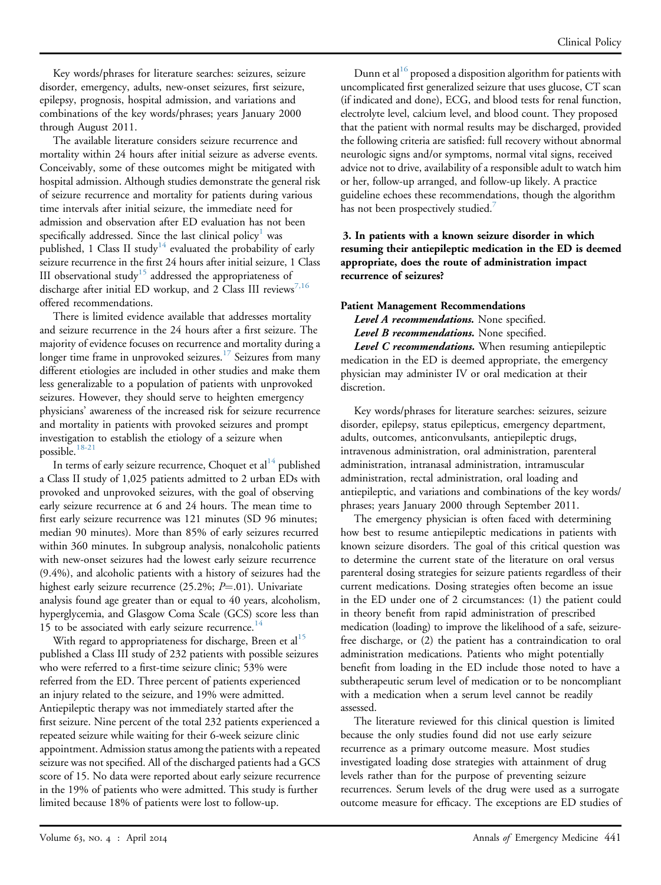Key words/phrases for literature searches: seizures, seizure disorder, emergency, adults, new-onset seizures, first seizure, epilepsy, prognosis, hospital admission, and variations and combinations of the key words/phrases; years January 2000 through August 2011.

The available literature considers seizure recurrence and mortality within 24 hours after initial seizure as adverse events. Conceivably, some of these outcomes might be mitigated with hospital admission. Although studies demonstrate the general risk of seizure recurrence and mortality for patients during various time intervals after initial seizure, the immediate need for admission and observation after ED evaluation has not been specifically addressed. Since the last clinical policy<sup>[1](#page-8-0)</sup> was published, 1 Class II study<sup>[14](#page-8-9)</sup> evaluated the probability of early seizure recurrence in the first 24 hours after initial seizure, 1 Class III observational study<sup>[15](#page-8-10)</sup> addressed the appropriateness of discharge after initial ED workup, and 2  $\widehat{Class}$  III reviews<sup>[7,16](#page-8-11)</sup> offered recommendations.

There is limited evidence available that addresses mortality and seizure recurrence in the 24 hours after a first seizure. The majority of evidence focuses on recurrence and mortality during a longer time frame in unprovoked seizures.<sup>[17](#page-8-12)</sup> Seizures from many different etiologies are included in other studies and make them less generalizable to a population of patients with unprovoked seizures. However, they should serve to heighten emergency physicians' awareness of the increased risk for seizure recurrence and mortality in patients with provoked seizures and prompt investigation to establish the etiology of a seizure when possible.[18-21](#page-8-13)

In terms of early seizure recurrence, Choquet et al<sup>[14](#page-8-9)</sup> published a Class II study of 1,025 patients admitted to 2 urban EDs with provoked and unprovoked seizures, with the goal of observing early seizure recurrence at 6 and 24 hours. The mean time to first early seizure recurrence was 121 minutes (SD 96 minutes; median 90 minutes). More than 85% of early seizures recurred within 360 minutes. In subgroup analysis, nonalcoholic patients with new-onset seizures had the lowest early seizure recurrence (9.4%), and alcoholic patients with a history of seizures had the highest early seizure recurrence (25.2%;  $P = .01$ ). Univariate analysis found age greater than or equal to 40 years, alcoholism, hyperglycemia, and Glasgow Coma Scale (GCS) score less than 15 to be associated with early seizure recurrence.<sup>[14](#page-8-9)</sup>

With regard to appropriateness for discharge, Breen et al<sup>[15](#page-8-10)</sup> published a Class III study of 232 patients with possible seizures who were referred to a first-time seizure clinic; 53% were referred from the ED. Three percent of patients experienced an injury related to the seizure, and 19% were admitted. Antiepileptic therapy was not immediately started after the first seizure. Nine percent of the total 232 patients experienced a repeated seizure while waiting for their 6-week seizure clinic appointment. Admission status among the patients with a repeated seizure was not specified. All of the discharged patients had a GCS score of 15. No data were reported about early seizure recurrence in the 19% of patients who were admitted. This study is further limited because 18% of patients were lost to follow-up.

Dunn et al $^{16}$  $^{16}$  $^{16}$  proposed a disposition algorithm for patients with uncomplicated first generalized seizure that uses glucose, CT scan (if indicated and done), ECG, and blood tests for renal function, electrolyte level, calcium level, and blood count. They proposed that the patient with normal results may be discharged, provided the following criteria are satisfied: full recovery without abnormal neurologic signs and/or symptoms, normal vital signs, received advice not to drive, availability of a responsible adult to watch him or her, follow-up arranged, and follow-up likely. A practice guideline echoes these recommendations, though the algorithm has not been prospectively studied.<sup>[7](#page-8-11)</sup>

3. In patients with a known seizure disorder in which resuming their antiepileptic medication in the ED is deemed appropriate, does the route of administration impact recurrence of seizures?

Patient Management Recommendations

Level A recommendations. None specified. Level B recommendations. None specified. Level C recommendations. When resuming antiepileptic medication in the ED is deemed appropriate, the emergency physician may administer IV or oral medication at their discretion.

Key words/phrases for literature searches: seizures, seizure disorder, epilepsy, status epilepticus, emergency department, adults, outcomes, anticonvulsants, antiepileptic drugs, intravenous administration, oral administration, parenteral administration, intranasal administration, intramuscular administration, rectal administration, oral loading and antiepileptic, and variations and combinations of the key words/ phrases; years January 2000 through September 2011.

The emergency physician is often faced with determining how best to resume antiepileptic medications in patients with known seizure disorders. The goal of this critical question was to determine the current state of the literature on oral versus parenteral dosing strategies for seizure patients regardless of their current medications. Dosing strategies often become an issue in the ED under one of 2 circumstances: (1) the patient could in theory benefit from rapid administration of prescribed medication (loading) to improve the likelihood of a safe, seizurefree discharge, or (2) the patient has a contraindication to oral administration medications. Patients who might potentially benefit from loading in the ED include those noted to have a subtherapeutic serum level of medication or to be noncompliant with a medication when a serum level cannot be readily assessed.

The literature reviewed for this clinical question is limited because the only studies found did not use early seizure recurrence as a primary outcome measure. Most studies investigated loading dose strategies with attainment of drug levels rather than for the purpose of preventing seizure recurrences. Serum levels of the drug were used as a surrogate outcome measure for efficacy. The exceptions are ED studies of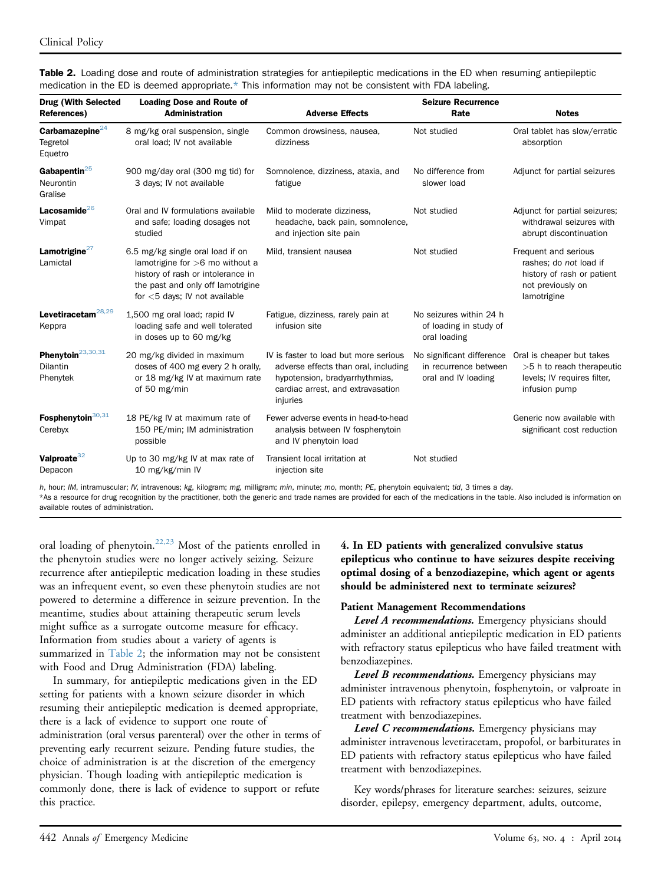| <b>Drug (With Selected</b>                      | <b>Loading Dose and Route of</b>                                                                                                                                                    |                                                                                                                                                                  | <b>Seizure Recurrence</b>                                                 |                                                                                                                  |
|-------------------------------------------------|-------------------------------------------------------------------------------------------------------------------------------------------------------------------------------------|------------------------------------------------------------------------------------------------------------------------------------------------------------------|---------------------------------------------------------------------------|------------------------------------------------------------------------------------------------------------------|
| <b>References</b> )                             | <b>Administration</b>                                                                                                                                                               | <b>Adverse Effects</b>                                                                                                                                           | Rate                                                                      | <b>Notes</b>                                                                                                     |
| Carbamazepine $^{24}$<br>Tegretol<br>Equetro    | 8 mg/kg oral suspension, single<br>oral load; IV not available                                                                                                                      | Common drowsiness, nausea,<br>dizziness                                                                                                                          | Not studied                                                               | Oral tablet has slow/erratic<br>absorption                                                                       |
| Gabapentin $^{25}$<br>Neurontin<br>Gralise      | 900 mg/day oral (300 mg tid) for<br>3 days; IV not available                                                                                                                        | Somnolence, dizziness, ataxia, and<br>fatigue                                                                                                                    | No difference from<br>slower load                                         | Adjunct for partial seizures                                                                                     |
| Lacosamide <sup>26</sup><br>Vimpat              | Oral and IV formulations available<br>and safe; loading dosages not<br>studied                                                                                                      | Mild to moderate dizziness,<br>headache, back pain, somnolence,<br>and injection site pain                                                                       | Not studied                                                               | Adjunct for partial seizures;<br>withdrawal seizures with<br>abrupt discontinuation                              |
| Lamotrigine $^{27}$<br>Lamictal                 | 6.5 mg/kg single oral load if on<br>lamotrigine for $>6$ mo without a<br>history of rash or intolerance in<br>the past and only off lamotrigine<br>for $<$ 5 days; IV not available | Mild, transient nausea                                                                                                                                           | Not studied                                                               | Frequent and serious<br>rashes; do not load if<br>history of rash or patient<br>not previously on<br>lamotrigine |
| Levetiracetam <sup>28,29</sup><br>Keppra        | 1,500 mg oral load; rapid IV<br>loading safe and well tolerated<br>in doses up to 60 mg/kg                                                                                          | Fatigue, dizziness, rarely pain at<br>infusion site                                                                                                              | No seizures within 24 h<br>of loading in study of<br>oral loading         |                                                                                                                  |
| Phenytoin $^{23,30,31}$<br>Dilantin<br>Phenytek | 20 mg/kg divided in maximum<br>doses of 400 mg every 2 h orally,<br>or 18 mg/kg IV at maximum rate<br>of 50 mg/min                                                                  | IV is faster to load but more serious<br>adverse effects than oral, including<br>hypotension, bradyarrhythmias,<br>cardiac arrest, and extravasation<br>injuries | No significant difference<br>in recurrence between<br>oral and IV loading | Oral is cheaper but takes<br>>5 h to reach therapeutic<br>levels; IV requires filter,<br>infusion pump           |
| Fosphenytoin $30,31$<br>Cerebyx                 | 18 PE/kg IV at maximum rate of<br>150 PE/min; IM administration<br>possible                                                                                                         | Fewer adverse events in head-to-head<br>analysis between IV fosphenytoin<br>and IV phenytoin load                                                                |                                                                           | Generic now available with<br>significant cost reduction                                                         |
| Valproate <sup>32</sup><br>Depacon              | Up to 30 mg/kg IV at max rate of<br>10 mg/kg/min IV                                                                                                                                 | Transient local irritation at<br>injection site                                                                                                                  | Not studied                                                               |                                                                                                                  |

Table 2. Loading dose and route of administration strategies for antiepileptic medications in the ED when resuming antiepileptic medication in the ED is deemed appropriate[.\\*](#page-10-0) This information may not be consistent with FDA labeling.

<span id="page-5-1"></span><span id="page-5-0"></span>h, hour; IM, intramuscular; IV, intravenous; kg, kilogram; mg, milligram; min, minute; mo, month; PE, phenytoin equivalent; tid, 3 times a day. \*As a resource for drug recognition by the practitioner, both the generic and trade names are provided for each of the medications in the table. Also included is information on

available routes of administration.

oral loading of phenytoin.[22,23](#page-8-15) Most of the patients enrolled in the phenytoin studies were no longer actively seizing. Seizure recurrence after antiepileptic medication loading in these studies was an infrequent event, so even these phenytoin studies are not powered to determine a difference in seizure prevention. In the meantime, studies about attaining therapeutic serum levels might suffice as a surrogate outcome measure for efficacy. Information from studies about a variety of agents is summarized in [Table 2](#page-5-0); the information may not be consistent with Food and Drug Administration (FDA) labeling.

In summary, for antiepileptic medications given in the ED setting for patients with a known seizure disorder in which resuming their antiepileptic medication is deemed appropriate, there is a lack of evidence to support one route of administration (oral versus parenteral) over the other in terms of preventing early recurrent seizure. Pending future studies, the choice of administration is at the discretion of the emergency physician. Though loading with antiepileptic medication is commonly done, there is lack of evidence to support or refute this practice.

4. In ED patients with generalized convulsive status epilepticus who continue to have seizures despite receiving optimal dosing of a benzodiazepine, which agent or agents should be administered next to terminate seizures?

# Patient Management Recommendations

Level A recommendations. Emergency physicians should administer an additional antiepileptic medication in ED patients with refractory status epilepticus who have failed treatment with benzodiazepines.

Level B recommendations. Emergency physicians may administer intravenous phenytoin, fosphenytoin, or valproate in ED patients with refractory status epilepticus who have failed treatment with benzodiazepines.

Level C recommendations. Emergency physicians may administer intravenous levetiracetam, propofol, or barbiturates in ED patients with refractory status epilepticus who have failed treatment with benzodiazepines.

Key words/phrases for literature searches: seizures, seizure disorder, epilepsy, emergency department, adults, outcome,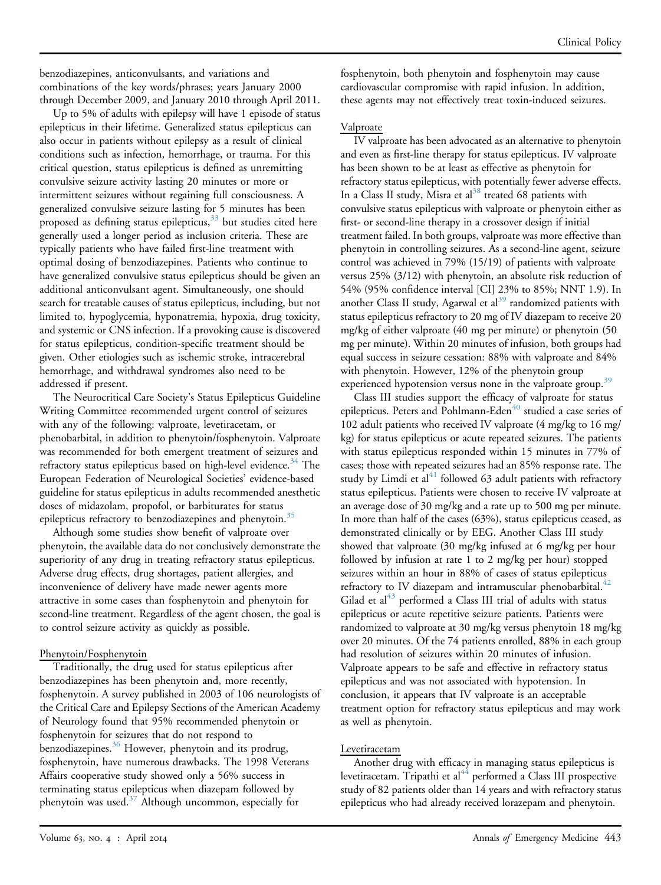benzodiazepines, anticonvulsants, and variations and combinations of the key words/phrases; years January 2000 through December 2009, and January 2010 through April 2011.

Up to 5% of adults with epilepsy will have 1 episode of status epilepticus in their lifetime. Generalized status epilepticus can also occur in patients without epilepsy as a result of clinical conditions such as infection, hemorrhage, or trauma. For this critical question, status epilepticus is defined as unremitting convulsive seizure activity lasting 20 minutes or more or intermittent seizures without regaining full consciousness. A generalized convulsive seizure lasting for 5 minutes has been proposed as defining status epilepticus, $33$  but studies cited here generally used a longer period as inclusion criteria. These are typically patients who have failed first-line treatment with optimal dosing of benzodiazepines. Patients who continue to have generalized convulsive status epilepticus should be given an additional anticonvulsant agent. Simultaneously, one should search for treatable causes of status epilepticus, including, but not limited to, hypoglycemia, hyponatremia, hypoxia, drug toxicity, and systemic or CNS infection. If a provoking cause is discovered for status epilepticus, condition-specific treatment should be given. Other etiologies such as ischemic stroke, intracerebral hemorrhage, and withdrawal syndromes also need to be addressed if present.

The Neurocritical Care Society's Status Epilepticus Guideline Writing Committee recommended urgent control of seizures with any of the following: valproate, levetiracetam, or phenobarbital, in addition to phenytoin/fosphenytoin. Valproate was recommended for both emergent treatment of seizures and refractory status epilepticus based on high-level evidence.<sup>[34](#page-9-9)</sup> The European Federation of Neurological Societies' evidence-based guideline for status epilepticus in adults recommended anesthetic doses of midazolam, propofol, or barbiturates for status epilepticus refractory to benzodiazepines and phenytoin.<sup>[35](#page-9-10)</sup>

Although some studies show benefit of valproate over phenytoin, the available data do not conclusively demonstrate the superiority of any drug in treating refractory status epilepticus. Adverse drug effects, drug shortages, patient allergies, and inconvenience of delivery have made newer agents more attractive in some cases than fosphenytoin and phenytoin for second-line treatment. Regardless of the agent chosen, the goal is to control seizure activity as quickly as possible.

#### Phenytoin/Fosphenytoin

Traditionally, the drug used for status epilepticus after benzodiazepines has been phenytoin and, more recently, fosphenytoin. A survey published in 2003 of 106 neurologists of the Critical Care and Epilepsy Sections of the American Academy of Neurology found that 95% recommended phenytoin or fosphenytoin for seizures that do not respond to benzodiazepines.<sup>36</sup> However, phenytoin and its prodrug, fosphenytoin, have numerous drawbacks. The 1998 Veterans Affairs cooperative study showed only a 56% success in terminating status epilepticus when diazepam followed by phenytoin was used.<sup>[37](#page-9-12)</sup> Although uncommon, especially for

fosphenytoin, both phenytoin and fosphenytoin may cause cardiovascular compromise with rapid infusion. In addition, these agents may not effectively treat toxin-induced seizures.

#### Valproate

IV valproate has been advocated as an alternative to phenytoin and even as first-line therapy for status epilepticus. IV valproate has been shown to be at least as effective as phenytoin for refractory status epilepticus, with potentially fewer adverse effects. In a Class II study, Misra et al<sup>[38](#page-9-13)</sup> treated 68 patients with convulsive status epilepticus with valproate or phenytoin either as first- or second-line therapy in a crossover design if initial treatment failed. In both groups, valproate was more effective than phenytoin in controlling seizures. As a second-line agent, seizure control was achieved in 79% (15/19) of patients with valproate versus 25% (3/12) with phenytoin, an absolute risk reduction of 54% (95% confidence interval [CI] 23% to 85%; NNT 1.9). In another Class II study, Agarwal et  $al<sup>39</sup>$  $al<sup>39</sup>$  $al<sup>39</sup>$  randomized patients with status epilepticus refractory to 20 mg of IV diazepam to receive 20 mg/kg of either valproate (40 mg per minute) or phenytoin (50 mg per minute). Within 20 minutes of infusion, both groups had equal success in seizure cessation: 88% with valproate and 84% with phenytoin. However, 12% of the phenytoin group experienced hypotension versus none in the valproate group.<sup>39</sup>

Class III studies support the efficacy of valproate for status epilepticus. Peters and Pohlmann-Eden<sup>[40](#page-9-15)</sup> studied a case series of 102 adult patients who received IV valproate (4 mg/kg to 16 mg/ kg) for status epilepticus or acute repeated seizures. The patients with status epilepticus responded within 15 minutes in 77% of cases; those with repeated seizures had an 85% response rate. The study by Limdi et  $al^{41}$  $al^{41}$  $al^{41}$  followed 63 adult patients with refractory status epilepticus. Patients were chosen to receive IV valproate at an average dose of 30 mg/kg and a rate up to 500 mg per minute. In more than half of the cases (63%), status epilepticus ceased, as demonstrated clinically or by EEG. Another Class III study showed that valproate (30 mg/kg infused at 6 mg/kg per hour followed by infusion at rate 1 to 2 mg/kg per hour) stopped seizures within an hour in 88% of cases of status epilepticus refractory to IV diazepam and intramuscular phenobarbital. $42$ Gilad et al $43$  performed a Class III trial of adults with status epilepticus or acute repetitive seizure patients. Patients were randomized to valproate at 30 mg/kg versus phenytoin 18 mg/kg over 20 minutes. Of the 74 patients enrolled, 88% in each group had resolution of seizures within 20 minutes of infusion. Valproate appears to be safe and effective in refractory status epilepticus and was not associated with hypotension. In conclusion, it appears that IV valproate is an acceptable treatment option for refractory status epilepticus and may work as well as phenytoin.

#### Levetiracetam

Another drug with efficacy in managing status epilepticus is levetiracetam. Tripathi et al $44$  performed a Class III prospective study of 82 patients older than 14 years and with refractory status epilepticus who had already received lorazepam and phenytoin.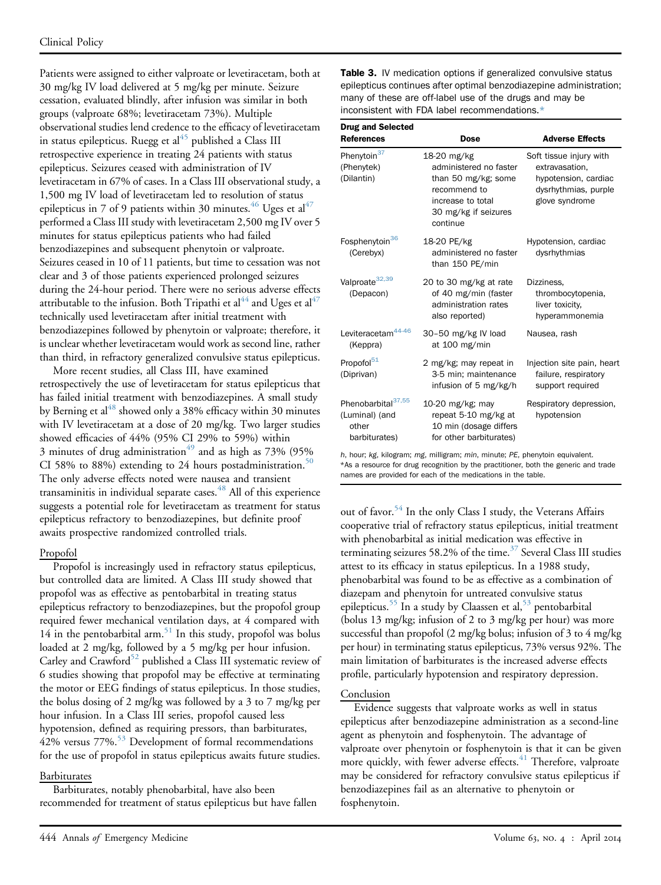Patients were assigned to either valproate or levetiracetam, both at 30 mg/kg IV load delivered at 5 mg/kg per minute. Seizure cessation, evaluated blindly, after infusion was similar in both groups (valproate 68%; levetiracetam 73%). Multiple observational studies lend credence to the efficacy of levetiracetam in status epilepticus. Ruegg et al<sup>[45](#page-9-20)</sup> published a Class III retrospective experience in treating 24 patients with status epilepticus. Seizures ceased with administration of IV levetiracetam in 67% of cases. In a Class III observational study, a 1,500 mg IV load of levetiracetam led to resolution of status epilepticus in 7 of 9 patients within 30 minutes.<sup>[46](#page-9-21)</sup> Uges et al<sup>[47](#page-9-22)</sup> performed a Class III study with levetiracetam 2,500 mg IV over 5 minutes for status epilepticus patients who had failed benzodiazepines and subsequent phenytoin or valproate. Seizures ceased in 10 of 11 patients, but time to cessation was not clear and 3 of those patients experienced prolonged seizures during the 24-hour period. There were no serious adverse effects attributable to the infusion. Both Tripathi et al $^{44}$  $^{44}$  $^{44}$  and Uges et al $^{47}$ technically used levetiracetam after initial treatment with benzodiazepines followed by phenytoin or valproate; therefore, it is unclear whether levetiracetam would work as second line, rather than third, in refractory generalized convulsive status epilepticus.

More recent studies, all Class III, have examined retrospectively the use of levetiracetam for status epilepticus that has failed initial treatment with benzodiazepines. A small study by Berning et al<sup>48</sup> showed only a 38% efficacy within 30 minutes with IV levetiracetam at a dose of 20 mg/kg. Two larger studies showed efficacies of 44% (95% CI 29% to 59%) within 3 minutes of drug administration<sup>[49](#page-9-24)</sup> and as high as 73% (95%) CI 58% to 88%) extending to 24 hours postadministration.<sup>50</sup> The only adverse effects noted were nausea and transient transaminitis in individual separate cases.<sup>[48](#page-9-23)</sup> All of this experience suggests a potential role for levetiracetam as treatment for status epilepticus refractory to benzodiazepines, but definite proof awaits prospective randomized controlled trials.

### Propofol

Propofol is increasingly used in refractory status epilepticus, but controlled data are limited. A Class III study showed that propofol was as effective as pentobarbital in treating status epilepticus refractory to benzodiazepines, but the propofol group required fewer mechanical ventilation days, at 4 compared with  $14$  in the pentobarbital arm.<sup>[51](#page-9-26)</sup> In this study, propofol was bolus loaded at 2 mg/kg, followed by a 5 mg/kg per hour infusion. Carley and Crawford<sup>[52](#page-9-27)</sup> published a Class III systematic review of 6 studies showing that propofol may be effective at terminating the motor or EEG findings of status epilepticus. In those studies, the bolus dosing of 2 mg/kg was followed by a 3 to 7 mg/kg per hour infusion. In a Class III series, propofol caused less hypotension, defined as requiring pressors, than barbiturates, 42% versus 77%.<sup>[53](#page-9-28)</sup> Development of formal recommendations for the use of propofol in status epilepticus awaits future studies.

### Barbiturates

Barbiturates, notably phenobarbital, have also been recommended for treatment of status epilepticus but have fallen Table 3. IV medication options if generalized convulsive status epilepticus continues after optimal benzodiazepine administration; many of these are off-label use of the drugs and may be inconsistent with FDA label recommendations[.\\*](#page-7-0)

| <b>Drug and Selected</b><br><b>References</b>                              | <b>Dose</b>                                                                                                                           | <b>Adverse Effects</b>                                                                                      |
|----------------------------------------------------------------------------|---------------------------------------------------------------------------------------------------------------------------------------|-------------------------------------------------------------------------------------------------------------|
| Phenytoin <sup>37</sup><br>(Phenytek)<br>(Dilantin)                        | 18-20 mg/kg<br>administered no faster<br>than 50 mg/kg; some<br>recommend to<br>increase to total<br>30 mg/kg if seizures<br>continue | Soft tissue injury with<br>extravasation.<br>hypotension, cardiac<br>dysrhythmias, purple<br>glove syndrome |
| Fosphenytoin <sup>36</sup><br>(Cerebyx)                                    | 18-20 PE/kg<br>administered no faster<br>than 150 PE/min                                                                              | Hypotension, cardiac<br>dysrhythmias                                                                        |
| Valproate <sup>32,39</sup><br>(Depacon)                                    | 20 to 30 mg/kg at rate<br>of 40 mg/min (faster<br>administration rates<br>also reported)                                              | Dizziness,<br>thrombocytopenia,<br>liver toxicity,<br>hyperammonemia                                        |
| Leviteracetam <sup>44-46</sup><br>(Keppra)                                 | 30-50 mg/kg IV load<br>at 100 mg/min                                                                                                  | Nausea, rash                                                                                                |
| Propofol <sup>51</sup><br>(Diprivan)                                       | 2 mg/kg; may repeat in<br>3-5 min; maintenance<br>infusion of 5 mg/kg/h                                                               | Injection site pain, heart<br>failure, respiratory<br>support required                                      |
| Phenobarbital <sup>37,55</sup><br>(Luminal) (and<br>other<br>barbiturates) | 10-20 mg/kg; may<br>repeat 5-10 mg/kg at<br>10 min (dosage differs<br>for other barbiturates)                                         | Respiratory depression,<br>hypotension                                                                      |

<span id="page-7-1"></span><span id="page-7-0"></span>h, hour; kg, kilogram; mg, milligram; min, minute; PE, phenytoin equivalent. \*As a resource for drug recognition by the practitioner, both the generic and trade names are provided for each of the medications in the table.

out of favor.<sup>[54](#page-9-29)</sup> In the only Class I study, the Veterans Affairs cooperative trial of refractory status epilepticus, initial treatment with phenobarbital as initial medication was effective in terminating seizures 58.2% of the time. $37$  Several Class III studies attest to its efficacy in status epilepticus. In a 1988 study, phenobarbital was found to be as effective as a combination of diazepam and phenytoin for untreated convulsive status epilepticus.<sup>[55](#page-9-30)</sup> In a study by Claassen et al,<sup>[53](#page-9-28)</sup> pentobarbital (bolus 13 mg/kg; infusion of 2 to 3 mg/kg per hour) was more successful than propofol (2 mg/kg bolus; infusion of 3 to 4 mg/kg per hour) in terminating status epilepticus, 73% versus 92%. The main limitation of barbiturates is the increased adverse effects profile, particularly hypotension and respiratory depression.

### Conclusion

Evidence suggests that valproate works as well in status epilepticus after benzodiazepine administration as a second-line agent as phenytoin and fosphenytoin. The advantage of valproate over phenytoin or fosphenytoin is that it can be given more quickly, with fewer adverse effects.<sup>[41](#page-9-16)</sup> Therefore, valproate may be considered for refractory convulsive status epilepticus if benzodiazepines fail as an alternative to phenytoin or fosphenytoin.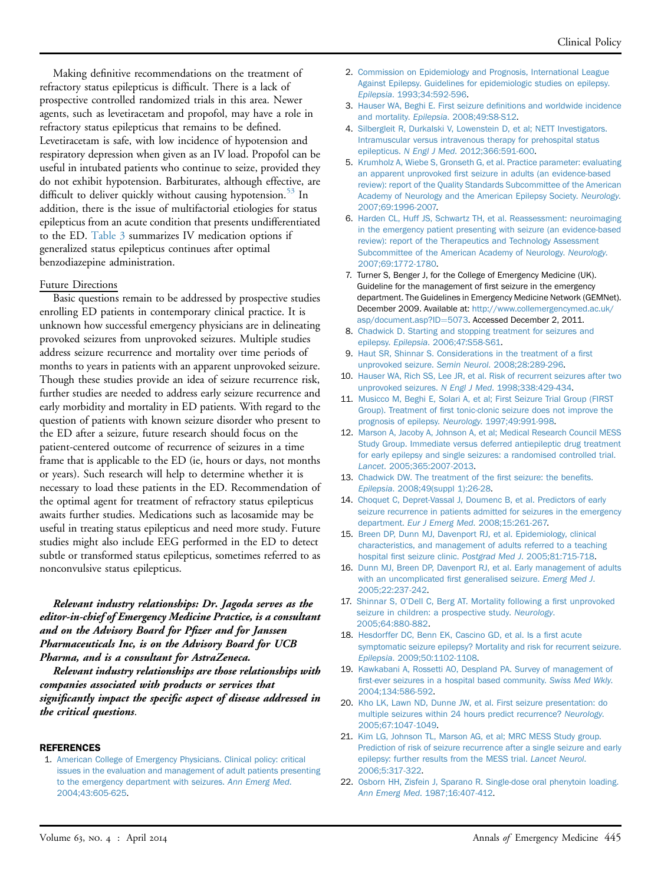Making definitive recommendations on the treatment of refractory status epilepticus is difficult. There is a lack of prospective controlled randomized trials in this area. Newer agents, such as levetiracetam and propofol, may have a role in refractory status epilepticus that remains to be defined. Levetiracetam is safe, with low incidence of hypotension and respiratory depression when given as an IV load. Propofol can be useful in intubated patients who continue to seize, provided they do not exhibit hypotension. Barbiturates, although effective, are difficult to deliver quickly without causing hypotension.<sup>[53](#page-9-28)</sup> In addition, there is the issue of multifactorial etiologies for status epilepticus from an acute condition that presents undifferentiated to the ED. [Table 3](#page-7-1) summarizes IV medication options if generalized status epilepticus continues after optimal benzodiazepine administration.

#### Future Directions

Basic questions remain to be addressed by prospective studies enrolling ED patients in contemporary clinical practice. It is unknown how successful emergency physicians are in delineating provoked seizures from unprovoked seizures. Multiple studies address seizure recurrence and mortality over time periods of months to years in patients with an apparent unprovoked seizure. Though these studies provide an idea of seizure recurrence risk, further studies are needed to address early seizure recurrence and early morbidity and mortality in ED patients. With regard to the question of patients with known seizure disorder who present to the ED after a seizure, future research should focus on the patient-centered outcome of recurrence of seizures in a time frame that is applicable to the ED (ie, hours or days, not months or years). Such research will help to determine whether it is necessary to load these patients in the ED. Recommendation of the optimal agent for treatment of refractory status epilepticus awaits further studies. Medications such as lacosamide may be useful in treating status epilepticus and need more study. Future studies might also include EEG performed in the ED to detect subtle or transformed status epilepticus, sometimes referred to as nonconvulsive status epilepticus.

Relevant industry relationships: Dr. Jagoda serves as the editor-in-chief of Emergency Medicine Practice, is a consultant and on the Advisory Board for Pfizer and for Janssen Pharmaceuticals Inc, is on the Advisory Board for UCB Pharma, and is a consultant for AstraZeneca.

Relevant industry relationships are those relationships with companies associated with products or services that significantly impact the specific aspect of disease addressed in the critical questions.

#### <span id="page-8-0"></span>**REFERENCES**

1. [American College of Emergency Physicians. Clinical policy: critical](http://refhub.elsevier.com/S0196-0644(14)00080-8/sref1) [issues in the evaluation and management of adult patients presenting](http://refhub.elsevier.com/S0196-0644(14)00080-8/sref1) [to the emergency department with seizures.](http://refhub.elsevier.com/S0196-0644(14)00080-8/sref1) Ann Emerg Med. [2004;43:605-625](http://refhub.elsevier.com/S0196-0644(14)00080-8/sref1).

- <span id="page-8-1"></span>2. [Commission on Epidemiology and Prognosis, International League](http://refhub.elsevier.com/S0196-0644(14)00080-8/sref2) [Against Epilepsy. Guidelines for epidemiologic studies on epilepsy.](http://refhub.elsevier.com/S0196-0644(14)00080-8/sref2) Epilepsia[. 1993;34:592-596](http://refhub.elsevier.com/S0196-0644(14)00080-8/sref2).
- 3. [Hauser WA, Beghi E. First seizure de](http://refhub.elsevier.com/S0196-0644(14)00080-8/sref3)finitions and worldwide incidence and mortality. Epilepsia[. 2008;49:S8-S12](http://refhub.elsevier.com/S0196-0644(14)00080-8/sref3).
- <span id="page-8-2"></span>4. [Silbergleit R, Durkalski V, Lowenstein D, et al; NETT Investigators.](http://refhub.elsevier.com/S0196-0644(14)00080-8/sref4) [Intramuscular versus intravenous therapy for prehospital status](http://refhub.elsevier.com/S0196-0644(14)00080-8/sref4) epilepticus. N Engl J Med[. 2012;366:591-600.](http://refhub.elsevier.com/S0196-0644(14)00080-8/sref4)
- <span id="page-8-3"></span>5. [Krumholz A, Wiebe S, Gronseth G, et al. Practice parameter: evaluating](http://refhub.elsevier.com/S0196-0644(14)00080-8/sref5) an apparent unprovoked fi[rst seizure in adults \(an evidence-based](http://refhub.elsevier.com/S0196-0644(14)00080-8/sref5) [review\): report of the Quality Standards Subcommittee of the American](http://refhub.elsevier.com/S0196-0644(14)00080-8/sref5) [Academy of Neurology and the American Epilepsy Society.](http://refhub.elsevier.com/S0196-0644(14)00080-8/sref5) Neurology. [2007;69:1996-2007.](http://refhub.elsevier.com/S0196-0644(14)00080-8/sref5)
- 6. [Harden CL, Huff JS, Schwartz TH, et al. Reassessment: neuroimaging](http://refhub.elsevier.com/S0196-0644(14)00080-8/sref6) [in the emergency patient presenting with seizure \(an evidence-based](http://refhub.elsevier.com/S0196-0644(14)00080-8/sref6) [review\): report of the Therapeutics and Technology Assessment](http://refhub.elsevier.com/S0196-0644(14)00080-8/sref6) [Subcommittee of the American Academy of Neurology.](http://refhub.elsevier.com/S0196-0644(14)00080-8/sref6) Neurology. [2007;69:1772-1780](http://refhub.elsevier.com/S0196-0644(14)00080-8/sref6).
- <span id="page-8-11"></span>7. Turner S, Benger J, for the College of Emergency Medicine (UK). Guideline for the management of first seizure in the emergency department. The Guidelines in Emergency Medicine Network (GEMNet). December 2009. Available at: [http://www.collemergencymed.ac.uk/](http://www.collemergencymed.ac.uk/asp/document.asp?ID=5073) [asp/document.asp?ID](http://www.collemergencymed.ac.uk/asp/document.asp?ID=5073)=[5073](http://www.collemergencymed.ac.uk/asp/document.asp?ID=5073). Accessed December 2, 2011.
- <span id="page-8-4"></span>8. [Chadwick D. Starting and stopping treatment for seizures and](http://refhub.elsevier.com/S0196-0644(14)00080-8/sref7) epilepsy. Epilepsia[. 2006;47:S58-S61](http://refhub.elsevier.com/S0196-0644(14)00080-8/sref7).
- <span id="page-8-8"></span>9. [Haut SR, Shinnar S. Considerations in the treatment of a](http://refhub.elsevier.com/S0196-0644(14)00080-8/sref8) first [unprovoked seizure.](http://refhub.elsevier.com/S0196-0644(14)00080-8/sref8) Semin Neurol. 2008;28:289-296.
- <span id="page-8-5"></span>10. [Hauser WA, Rich SS, Lee JR, et al. Risk of recurrent seizures after two](http://refhub.elsevier.com/S0196-0644(14)00080-8/sref9) [unprovoked seizures.](http://refhub.elsevier.com/S0196-0644(14)00080-8/sref9) N Engl J Med. 1998;338:429-434.
- 11. [Musicco M, Beghi E, Solari A, et al; First Seizure Trial Group \(FIRST](http://refhub.elsevier.com/S0196-0644(14)00080-8/sref10) Group). Treatment of fi[rst tonic-clonic seizure does not improve the](http://refhub.elsevier.com/S0196-0644(14)00080-8/sref10) [prognosis of epilepsy.](http://refhub.elsevier.com/S0196-0644(14)00080-8/sref10) Neurology. 1997;49:991-998.
- <span id="page-8-6"></span>12. [Marson A, Jacoby A, Johnson A, et al; Medical Research Council MESS](http://refhub.elsevier.com/S0196-0644(14)00080-8/sref11) [Study Group. Immediate versus deferred antiepileptic drug treatment](http://refhub.elsevier.com/S0196-0644(14)00080-8/sref11) [for early epilepsy and single seizures: a randomised controlled trial.](http://refhub.elsevier.com/S0196-0644(14)00080-8/sref11) Lancet[. 2005;365:2007-2013](http://refhub.elsevier.com/S0196-0644(14)00080-8/sref11).
- <span id="page-8-7"></span>13. [Chadwick DW. The treatment of the](http://refhub.elsevier.com/S0196-0644(14)00080-8/sref12) first seizure: the benefits. Epilepsia[. 2008;49\(suppl 1\):26-28](http://refhub.elsevier.com/S0196-0644(14)00080-8/sref12).
- <span id="page-8-9"></span>14. [Choquet C, Depret-Vassal J, Doumenc B, et al. Predictors of early](http://refhub.elsevier.com/S0196-0644(14)00080-8/sref13) [seizure recurrence in patients admitted for seizures in the emergency](http://refhub.elsevier.com/S0196-0644(14)00080-8/sref13) department. Eur J Emerg Med[. 2008;15:261-267.](http://refhub.elsevier.com/S0196-0644(14)00080-8/sref13)
- <span id="page-8-10"></span>15. [Breen DP, Dunn MJ, Davenport RJ, et al. Epidemiology, clinical](http://refhub.elsevier.com/S0196-0644(14)00080-8/sref14) [characteristics, and management of adults referred to a teaching](http://refhub.elsevier.com/S0196-0644(14)00080-8/sref14) hospital first seizure clinic. Postgrad Med J[. 2005;81:715-718](http://refhub.elsevier.com/S0196-0644(14)00080-8/sref14).
- <span id="page-8-14"></span>16. [Dunn MJ, Breen DP, Davenport RJ, et al. Early management of adults](http://refhub.elsevier.com/S0196-0644(14)00080-8/sref15) with an uncomplicated fi[rst generalised seizure.](http://refhub.elsevier.com/S0196-0644(14)00080-8/sref15) Emerg Med J. [2005;22:237-242.](http://refhub.elsevier.com/S0196-0644(14)00080-8/sref15)
- <span id="page-8-12"></span>17. Shinnar S, O'[Dell C, Berg AT. Mortality following a](http://refhub.elsevier.com/S0196-0644(14)00080-8/sref16) first unprovoked [seizure in children: a prospective study.](http://refhub.elsevier.com/S0196-0644(14)00080-8/sref16) Neurology. [2005;64:880-882.](http://refhub.elsevier.com/S0196-0644(14)00080-8/sref16)
- <span id="page-8-13"></span>18. [Hesdorffer DC, Benn EK, Cascino GD, et al. Is a](http://refhub.elsevier.com/S0196-0644(14)00080-8/sref17) first acute [symptomatic seizure epilepsy? Mortality and risk for recurrent seizure.](http://refhub.elsevier.com/S0196-0644(14)00080-8/sref17) Epilepsia[. 2009;50:1102-1108](http://refhub.elsevier.com/S0196-0644(14)00080-8/sref17).
- 19. [Kawkabani A, Rossetti AO, Despland PA. Survey of management of](http://refhub.elsevier.com/S0196-0644(14)00080-8/sref18) fi[rst-ever seizures in a hospital based community.](http://refhub.elsevier.com/S0196-0644(14)00080-8/sref18) Swiss Med Wkly. [2004;134:586-592](http://refhub.elsevier.com/S0196-0644(14)00080-8/sref18).
- 20. [Kho LK, Lawn ND, Dunne JW, et al. First seizure presentation: do](http://refhub.elsevier.com/S0196-0644(14)00080-8/sref19) [multiple seizures within 24 hours predict recurrence?](http://refhub.elsevier.com/S0196-0644(14)00080-8/sref19) Neurology. [2005;67:1047-1049](http://refhub.elsevier.com/S0196-0644(14)00080-8/sref19).
- 21. [Kim LG, Johnson TL, Marson AG, et al; MRC MESS Study group.](http://refhub.elsevier.com/S0196-0644(14)00080-8/sref20) [Prediction of risk of seizure recurrence after a single seizure and early](http://refhub.elsevier.com/S0196-0644(14)00080-8/sref20) [epilepsy: further results from the MESS trial.](http://refhub.elsevier.com/S0196-0644(14)00080-8/sref20) Lancet Neurol. [2006;5:317-322](http://refhub.elsevier.com/S0196-0644(14)00080-8/sref20).
- <span id="page-8-15"></span>22. [Osborn HH, Zisfein J, Sparano R. Single-dose oral phenytoin loading.](http://refhub.elsevier.com/S0196-0644(14)00080-8/sref21) Ann Emerg Med[. 1987;16:407-412](http://refhub.elsevier.com/S0196-0644(14)00080-8/sref21).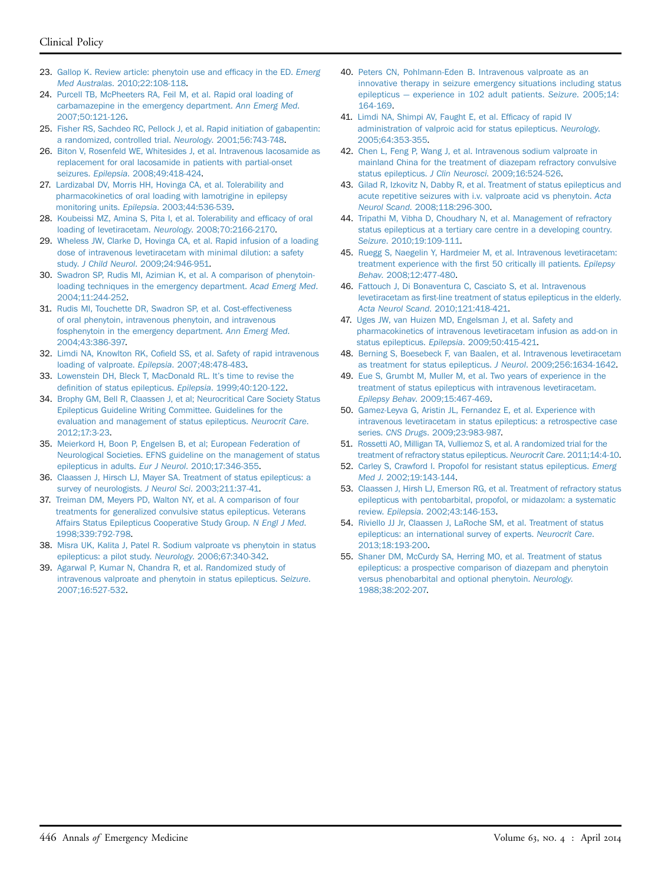- <span id="page-9-5"></span>23. [Gallop K. Review article: phenytoin use and ef](http://refhub.elsevier.com/S0196-0644(14)00080-8/sref22)ficacy in the ED. Emerg Med Australas[. 2010;22:108-118.](http://refhub.elsevier.com/S0196-0644(14)00080-8/sref22)
- <span id="page-9-0"></span>24. [Purcell TB, McPheeters RA, Feil M, et al. Rapid oral loading of](http://refhub.elsevier.com/S0196-0644(14)00080-8/sref23) [carbamazepine in the emergency department.](http://refhub.elsevier.com/S0196-0644(14)00080-8/sref23) Ann Emerg Med. [2007;50:121-126](http://refhub.elsevier.com/S0196-0644(14)00080-8/sref23).
- <span id="page-9-1"></span>25. [Fisher RS, Sachdeo RC, Pellock J, et al. Rapid initiation of gabapentin:](http://refhub.elsevier.com/S0196-0644(14)00080-8/sref24) [a randomized, controlled trial.](http://refhub.elsevier.com/S0196-0644(14)00080-8/sref24) Neurology. 2001;56:743-748.
- <span id="page-9-2"></span>26. [Biton V, Rosenfeld WE, Whitesides J, et al. Intravenous lacosamide as](http://refhub.elsevier.com/S0196-0644(14)00080-8/sref25) [replacement for oral lacosamide in patients with partial-onset](http://refhub.elsevier.com/S0196-0644(14)00080-8/sref25) seizures. Epilepsia[. 2008;49:418-424](http://refhub.elsevier.com/S0196-0644(14)00080-8/sref25).
- <span id="page-9-3"></span>27. [Lardizabal DV, Morris HH, Hovinga CA, et al. Tolerability and](http://refhub.elsevier.com/S0196-0644(14)00080-8/sref26) [pharmacokinetics of oral loading with lamotrigine in epilepsy](http://refhub.elsevier.com/S0196-0644(14)00080-8/sref26) monitoring units. Epilepsia[. 2003;44:536-539](http://refhub.elsevier.com/S0196-0644(14)00080-8/sref26).
- <span id="page-9-4"></span>28. [Koubeissi MZ, Amina S, Pita I, et al. Tolerability and ef](http://refhub.elsevier.com/S0196-0644(14)00080-8/sref27)ficacy of oral [loading of levetiracetam.](http://refhub.elsevier.com/S0196-0644(14)00080-8/sref27) Neurology. 2008;70:2166-2170.
- 29. [Wheless JW, Clarke D, Hovinga CA, et al. Rapid infusion of a loading](http://refhub.elsevier.com/S0196-0644(14)00080-8/sref28) [dose of intravenous levetiracetam with minimal dilution: a safety](http://refhub.elsevier.com/S0196-0644(14)00080-8/sref28) study. J Child Neurol[. 2009;24:946-951](http://refhub.elsevier.com/S0196-0644(14)00080-8/sref28).
- <span id="page-9-6"></span>30. [Swadron SP, Rudis MI, Azimian K, et al. A comparison of phenytoin](http://refhub.elsevier.com/S0196-0644(14)00080-8/sref29)[loading techniques in the emergency department.](http://refhub.elsevier.com/S0196-0644(14)00080-8/sref29) Acad Emerg Med. [2004;11:244-252.](http://refhub.elsevier.com/S0196-0644(14)00080-8/sref29)
- 31. [Rudis MI, Touchette DR, Swadron SP, et al. Cost-effectiveness](http://refhub.elsevier.com/S0196-0644(14)00080-8/sref30) [of oral phenytoin, intravenous phenytoin, and intravenous](http://refhub.elsevier.com/S0196-0644(14)00080-8/sref30) [fosphenytoin in the emergency department.](http://refhub.elsevier.com/S0196-0644(14)00080-8/sref30) Ann Emerg Med. [2004;43:386-397.](http://refhub.elsevier.com/S0196-0644(14)00080-8/sref30)
- <span id="page-9-7"></span>32. Limdi NA, Knowlton RK, Cofi[eld SS, et al. Safety of rapid intravenous](http://refhub.elsevier.com/S0196-0644(14)00080-8/sref31) [loading of valproate.](http://refhub.elsevier.com/S0196-0644(14)00080-8/sref31) Epilepsia. 2007;48:478-483.
- <span id="page-9-8"></span>33. [Lowenstein DH, Bleck T, MacDonald RL. It](http://refhub.elsevier.com/S0196-0644(14)00080-8/sref32)'s time to revise the defi[nition of status epilepticus.](http://refhub.elsevier.com/S0196-0644(14)00080-8/sref32) Epilepsia. 1999;40:120-122.
- <span id="page-9-9"></span>34. [Brophy GM, Bell R, Claassen J, et al; Neurocritical Care Society Status](http://refhub.elsevier.com/S0196-0644(14)00080-8/sref33) [Epilepticus Guideline Writing Committee. Guidelines for the](http://refhub.elsevier.com/S0196-0644(14)00080-8/sref33) [evaluation and management of status epilepticus.](http://refhub.elsevier.com/S0196-0644(14)00080-8/sref33) Neurocrit Care. [2012;17:3-23](http://refhub.elsevier.com/S0196-0644(14)00080-8/sref33).
- <span id="page-9-10"></span>35. [Meierkord H, Boon P, Engelsen B, et al; European Federation of](http://refhub.elsevier.com/S0196-0644(14)00080-8/sref34) [Neurological Societies. EFNS guideline on the management of status](http://refhub.elsevier.com/S0196-0644(14)00080-8/sref34) [epilepticus in adults.](http://refhub.elsevier.com/S0196-0644(14)00080-8/sref34) Eur J Neurol. 2010;17:346-355.
- <span id="page-9-11"></span>36. [Claassen J, Hirsch LJ, Mayer SA. Treatment of status epilepticus: a](http://refhub.elsevier.com/S0196-0644(14)00080-8/sref35) [survey of neurologists.](http://refhub.elsevier.com/S0196-0644(14)00080-8/sref35) J Neurol Sci. 2003;211:37-41.
- <span id="page-9-12"></span>37. [Treiman DM, Meyers PD, Walton NY, et al. A comparison of four](http://refhub.elsevier.com/S0196-0644(14)00080-8/sref36) [treatments for generalized convulsive status epilepticus. Veterans](http://refhub.elsevier.com/S0196-0644(14)00080-8/sref36) [Affairs Status Epilepticus Cooperative Study Group.](http://refhub.elsevier.com/S0196-0644(14)00080-8/sref36) N Engl J Med. [1998;339:792-798.](http://refhub.elsevier.com/S0196-0644(14)00080-8/sref36)
- <span id="page-9-13"></span>38. [Misra UK, Kalita J, Patel R. Sodium valproate vs phenytoin in status](http://refhub.elsevier.com/S0196-0644(14)00080-8/sref37) [epilepticus: a pilot study.](http://refhub.elsevier.com/S0196-0644(14)00080-8/sref37) Neurology. 2006;67:340-342.
- <span id="page-9-14"></span>39. [Agarwal P, Kumar N, Chandra R, et al. Randomized study of](http://refhub.elsevier.com/S0196-0644(14)00080-8/sref38) [intravenous valproate and phenytoin in status epilepticus.](http://refhub.elsevier.com/S0196-0644(14)00080-8/sref38) Seizure. [2007;16:527-532](http://refhub.elsevier.com/S0196-0644(14)00080-8/sref38).
- <span id="page-9-15"></span>40. [Peters CN, Pohlmann-Eden B. Intravenous valproate as an](http://refhub.elsevier.com/S0196-0644(14)00080-8/sref39) [innovative therapy in seizure emergency situations including status](http://refhub.elsevier.com/S0196-0644(14)00080-8/sref39) [epilepticus](http://refhub.elsevier.com/S0196-0644(14)00080-8/sref39) — [experience in 102 adult patients.](http://refhub.elsevier.com/S0196-0644(14)00080-8/sref39) Seizure. 2005;14: [164-169](http://refhub.elsevier.com/S0196-0644(14)00080-8/sref39).
- <span id="page-9-16"></span>41. [Limdi NA, Shimpi AV, Faught E, et al. Ef](http://refhub.elsevier.com/S0196-0644(14)00080-8/sref40)ficacy of rapid IV [administration of valproic acid for status epilepticus.](http://refhub.elsevier.com/S0196-0644(14)00080-8/sref40) Neurology. [2005;64:353-355](http://refhub.elsevier.com/S0196-0644(14)00080-8/sref40).
- <span id="page-9-17"></span>42. [Chen L, Feng P, Wang J, et al. Intravenous sodium valproate in](http://refhub.elsevier.com/S0196-0644(14)00080-8/sref41) [mainland China for the treatment of diazepam refractory convulsive](http://refhub.elsevier.com/S0196-0644(14)00080-8/sref41) status epilepticus. J Clin Neurosci[. 2009;16:524-526.](http://refhub.elsevier.com/S0196-0644(14)00080-8/sref41)
- <span id="page-9-18"></span>43. [Gilad R, Izkovitz N, Dabby R, et al. Treatment of status epilepticus and](http://refhub.elsevier.com/S0196-0644(14)00080-8/sref42) [acute repetitive seizures with i.v. valproate acid vs phenytoin.](http://refhub.elsevier.com/S0196-0644(14)00080-8/sref42) Acta Neurol Scand[. 2008;118:296-300.](http://refhub.elsevier.com/S0196-0644(14)00080-8/sref42)
- <span id="page-9-19"></span>44. [Tripathi M, Vibha D, Choudhary N, et al. Management of refractory](http://refhub.elsevier.com/S0196-0644(14)00080-8/sref43) [status epilepticus at a tertiary care centre in a developing country.](http://refhub.elsevier.com/S0196-0644(14)00080-8/sref43) Seizure[. 2010;19:109-111](http://refhub.elsevier.com/S0196-0644(14)00080-8/sref43).
- <span id="page-9-20"></span>45. [Ruegg S, Naegelin Y, Hardmeier M, et al. Intravenous levetiracetam:](http://refhub.elsevier.com/S0196-0644(14)00080-8/sref44) [treatment experience with the](http://refhub.elsevier.com/S0196-0644(14)00080-8/sref44) first 50 critically ill patients. Epilepsy Behav[. 2008;12:477-480](http://refhub.elsevier.com/S0196-0644(14)00080-8/sref44).
- <span id="page-9-21"></span>46. [Fattouch J, Di Bonaventura C, Casciato S, et al. Intravenous](http://refhub.elsevier.com/S0196-0644(14)00080-8/sref45) levetiracetam as fi[rst-line treatment of status epilepticus in the elderly.](http://refhub.elsevier.com/S0196-0644(14)00080-8/sref45) Acta Neurol Scand[. 2010;121:418-421.](http://refhub.elsevier.com/S0196-0644(14)00080-8/sref45)
- <span id="page-9-22"></span>47. [Uges JW, van Huizen MD, Engelsman J, et al. Safety and](http://refhub.elsevier.com/S0196-0644(14)00080-8/sref46) [pharmacokinetics of intravenous levetiracetam infusion as add-on in](http://refhub.elsevier.com/S0196-0644(14)00080-8/sref46) status epilepticus. Epilepsia[. 2009;50:415-421](http://refhub.elsevier.com/S0196-0644(14)00080-8/sref46).
- <span id="page-9-23"></span>48. [Berning S, Boesebeck F, van Baalen, et al. Intravenous levetiracetam](http://refhub.elsevier.com/S0196-0644(14)00080-8/sref47) [as treatment for status epilepticus.](http://refhub.elsevier.com/S0196-0644(14)00080-8/sref47) J Neurol. 2009;256:1634-1642.
- <span id="page-9-24"></span>49. [Eue S, Grumbt M, Muller M, et al. Two years of experience in the](http://refhub.elsevier.com/S0196-0644(14)00080-8/sref48) [treatment of status epilepticus with intravenous levetiracetam.](http://refhub.elsevier.com/S0196-0644(14)00080-8/sref48) Epilepsy Behav[. 2009;15:467-469.](http://refhub.elsevier.com/S0196-0644(14)00080-8/sref48)
- <span id="page-9-25"></span>50. [Gamez-Leyva G, Aristin JL, Fernandez E, et al. Experience with](http://refhub.elsevier.com/S0196-0644(14)00080-8/sref49) [intravenous levetiracetam in status epilepticus: a retrospective case](http://refhub.elsevier.com/S0196-0644(14)00080-8/sref49) series. CNS Drugs[. 2009;23:983-987.](http://refhub.elsevier.com/S0196-0644(14)00080-8/sref49)
- <span id="page-9-26"></span>51. [Rossetti AO, Milligan TA, Vulliemoz S, et al. A randomized trial for the](http://refhub.elsevier.com/S0196-0644(14)00080-8/sref50) [treatment of refractory status epilepticus.](http://refhub.elsevier.com/S0196-0644(14)00080-8/sref50) Neurocrit Care. 2011;14:4-10.
- <span id="page-9-27"></span>52. [Carley S, Crawford I. Propofol for resistant status epilepticus.](http://refhub.elsevier.com/S0196-0644(14)00080-8/sref51) Emerg Med J[. 2002;19:143-144](http://refhub.elsevier.com/S0196-0644(14)00080-8/sref51).
- <span id="page-9-28"></span>53. [Claassen J, Hirsh LJ, Emerson RG, et al. Treatment of refractory status](http://refhub.elsevier.com/S0196-0644(14)00080-8/sref52) [epilepticus with pentobarbital, propofol, or midazolam: a systematic](http://refhub.elsevier.com/S0196-0644(14)00080-8/sref52) review. Epilepsia[. 2002;43:146-153.](http://refhub.elsevier.com/S0196-0644(14)00080-8/sref52)
- <span id="page-9-29"></span>54. [Riviello JJ Jr, Claassen J, LaRoche SM, et al. Treatment of status](http://refhub.elsevier.com/S0196-0644(14)00080-8/sref53) [epilepticus: an international survey of experts.](http://refhub.elsevier.com/S0196-0644(14)00080-8/sref53) Neurocrit Care. [2013;18:193-200](http://refhub.elsevier.com/S0196-0644(14)00080-8/sref53).
- <span id="page-9-30"></span>55. [Shaner DM, McCurdy SA, Herring MO, et al. Treatment of status](http://refhub.elsevier.com/S0196-0644(14)00080-8/sref54) [epilepticus: a prospective comparison of diazepam and phenytoin](http://refhub.elsevier.com/S0196-0644(14)00080-8/sref54) [versus phenobarbital and optional phenytoin.](http://refhub.elsevier.com/S0196-0644(14)00080-8/sref54) Neurology. [1988;38:202-207.](http://refhub.elsevier.com/S0196-0644(14)00080-8/sref54)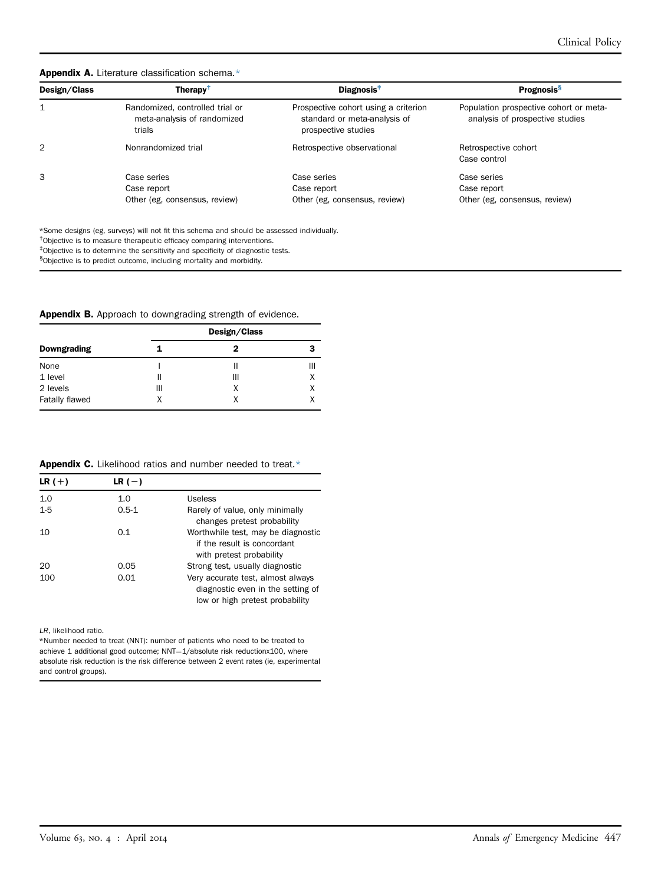Appendix A. Literature classification schema.[\\*](#page-10-1)

| Design/Class | Therapy <sup><math>†</math></sup>                                        | Diagnosis <sup>†</sup>                                                                      | <b>Prognosis</b> <sup>9</sup>                                             |
|--------------|--------------------------------------------------------------------------|---------------------------------------------------------------------------------------------|---------------------------------------------------------------------------|
| 1            | Randomized, controlled trial or<br>meta-analysis of randomized<br>trials | Prospective cohort using a criterion<br>standard or meta-analysis of<br>prospective studies | Population prospective cohort or meta-<br>analysis of prospective studies |
| 2            | Nonrandomized trial                                                      | Retrospective observational                                                                 | Retrospective cohort<br>Case control                                      |
| 3            | Case series<br>Case report<br>Other (eg, consensus, review)              | Case series<br>Case report<br>Other (eg. consensus, review)                                 | Case series<br>Case report<br>Other (eg, consensus, review)               |

<span id="page-10-1"></span>\*Some designs (eg, surveys) will not fit this schema and should be assessed individually.

<span id="page-10-2"></span><sup>†</sup>Objective is to measure therapeutic efficacy comparing interventions.

<span id="page-10-3"></span>‡ Objective is to determine the sensitivity and specificity of diagnostic tests.

<span id="page-10-4"></span>§ Objective is to predict outcome, including mortality and morbidity.

#### Appendix B. Approach to downgrading strength of evidence.

|                    | Design/Class |   |   |  |
|--------------------|--------------|---|---|--|
| <b>Downgrading</b> |              | 2 | з |  |
| None               |              | Ш | Ш |  |
| 1 level            | Ш            | Ш | Х |  |
| 2 levels           | Ш            | Χ | Χ |  |
| Fatally flawed     | Χ            | Χ | х |  |

| <b>Appendix C.</b> Likelihood ratios and number needed to treat.* |
|-------------------------------------------------------------------|
|-------------------------------------------------------------------|

| LR $(+)$ | LR $(-)$  |                                                                        |
|----------|-----------|------------------------------------------------------------------------|
| 1.0      | 1.0       | Useless                                                                |
| $1-5$    | $0.5 - 1$ | Rarely of value, only minimally<br>changes pretest probability         |
| 10       | 0.1       | Worthwhile test, may be diagnostic<br>if the result is concordant      |
|          |           | with pretest probability                                               |
| 20       | 0.05      | Strong test, usually diagnostic                                        |
| 100      | 0.01      | Very accurate test, almost always<br>diagnostic even in the setting of |
|          |           | low or high pretest probability                                        |

LR, likelihood ratio.

<span id="page-10-0"></span>\*Number needed to treat (NNT): number of patients who need to be treated to achieve 1 additional good outcome;  $NNT=1/absolute$  risk reductionx100, where absolute risk reduction is the risk difference between 2 event rates (ie, experimental and control groups).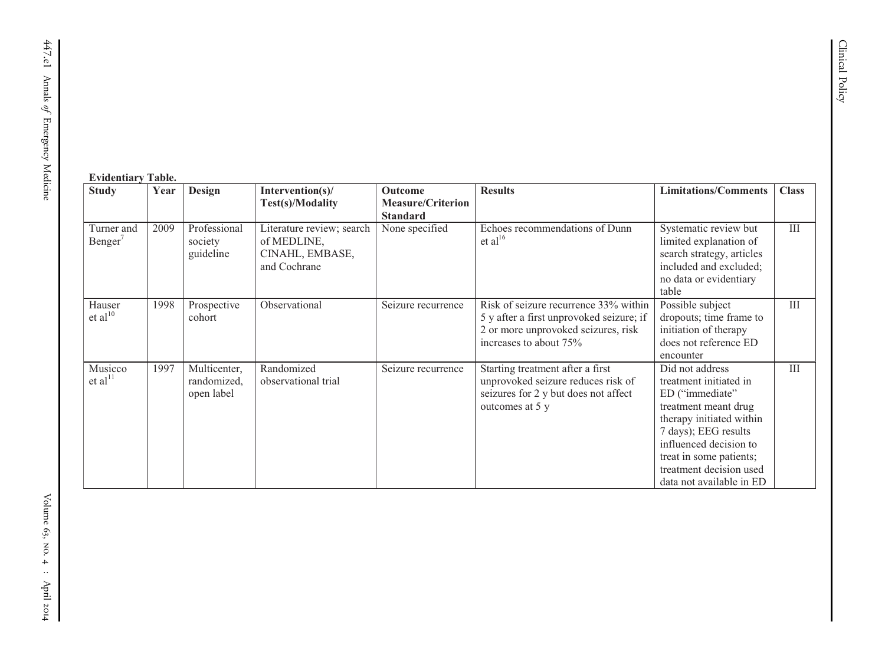| <b>Evidentiary Table.</b>         |      |                                           |                                                                             |                                                               |                                                                                                                                                    |                                                                                                                                                                                                                                                      |              |
|-----------------------------------|------|-------------------------------------------|-----------------------------------------------------------------------------|---------------------------------------------------------------|----------------------------------------------------------------------------------------------------------------------------------------------------|------------------------------------------------------------------------------------------------------------------------------------------------------------------------------------------------------------------------------------------------------|--------------|
| <b>Study</b>                      | Year | Design                                    | Intervention(s)/<br>Test(s)/Modality                                        | <b>Outcome</b><br><b>Measure/Criterion</b><br><b>Standard</b> | <b>Results</b>                                                                                                                                     | <b>Limitations/Comments</b>                                                                                                                                                                                                                          | <b>Class</b> |
| Turner and<br>Benger <sup>'</sup> | 2009 | Professional<br>society<br>guideline      | Literature review; search<br>of MEDLINE,<br>CINAHL, EMBASE,<br>and Cochrane | None specified                                                | Echoes recommendations of Dunn<br>et al <sup>16</sup>                                                                                              | Systematic review but<br>limited explanation of<br>search strategy, articles<br>included and excluded;<br>no data or evidentiary<br>table                                                                                                            | III          |
| Hauser<br>et al <sup>10</sup>     | 1998 | Prospective<br>cohort                     | Observational                                                               | Seizure recurrence                                            | Risk of seizure recurrence 33% within<br>5 y after a first unprovoked seizure; if<br>2 or more unprovoked seizures, risk<br>increases to about 75% | Possible subject<br>dropouts; time frame to<br>initiation of therapy<br>does not reference ED<br>encounter                                                                                                                                           | III          |
| Musicco<br>et al <sup>11</sup>    | 1997 | Multicenter,<br>randomized,<br>open label | Randomized<br>observational trial                                           | Seizure recurrence                                            | Starting treatment after a first<br>unprovoked seizure reduces risk of<br>seizures for 2 y but does not affect<br>outcomes at 5 y                  | Did not address<br>treatment initiated in<br>ED ("immediate"<br>treatment meant drug<br>therapy initiated within<br>7 days); EEG results<br>influenced decision to<br>treat in some patients;<br>treatment decision used<br>data not available in ED | III          |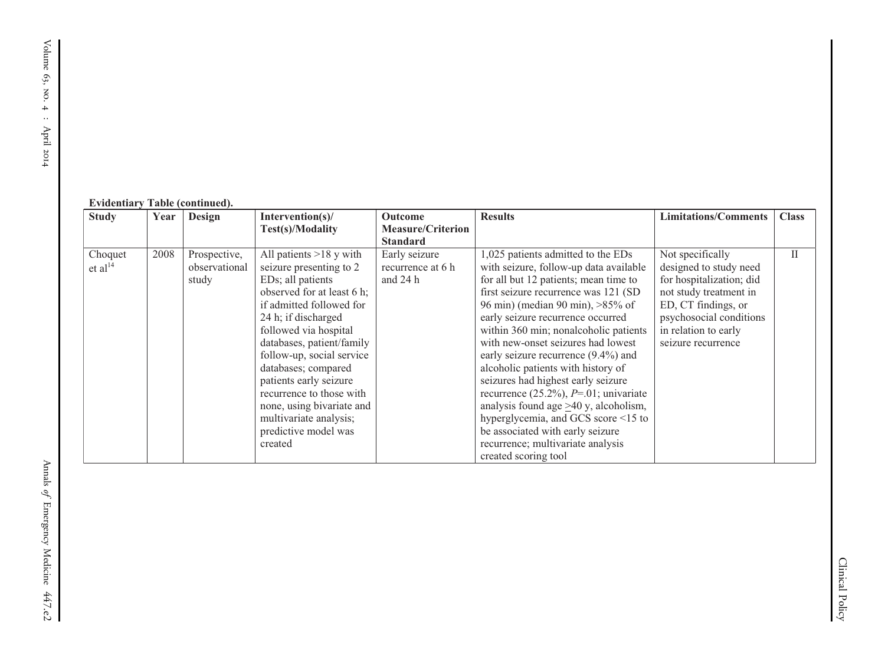Volume

63, no. 4 :

April 2014

#### **Evidentiary Table (continued). Study Year Design Intervention(s)/ Test(s)/Modality Outcome Measure/Criterion StandardResults Limitations/Comments Class** Choquet  $et al<sup>14</sup>$ 2008 Prospective, observational study All patients >18 y with seizure presenting to 2 EDs; all patients observed for at least 6 h; if admitted followed for 24 h; if discharged followed via hospital databases, patient/family follow-up, social service databases; compared patients early seizure recurrence to those with none, using bivariate and multivariate analysis; predictive model was createdEarly seizure recurrence at 6 h and 24 h1,025 patients admitted to the EDs with seizure, follow-up data available for all but 12 patients; mean time to first seizure recurrence was 121 (SD 96 min) (median 90 min), >85% of early seizure recurrence occurred within 360 min; nonalcoholic patients with new-onset seizures had lowest early seizure recurrence (9.4%) and alcoholic patients with history of seizures had highest early seizure recurrence (25.2%), *P*=.01; univariate analysis found age >40 y, alcoholism, hyperglycemia, and GCS score <15 to be associated with early seizure recurrence; multivariate analysis created scoring tool Not specifically designed to study need for hospitalization; did not study treatment in ED, CT findings, or psychosocial conditions in relation to early seizure recurrenceII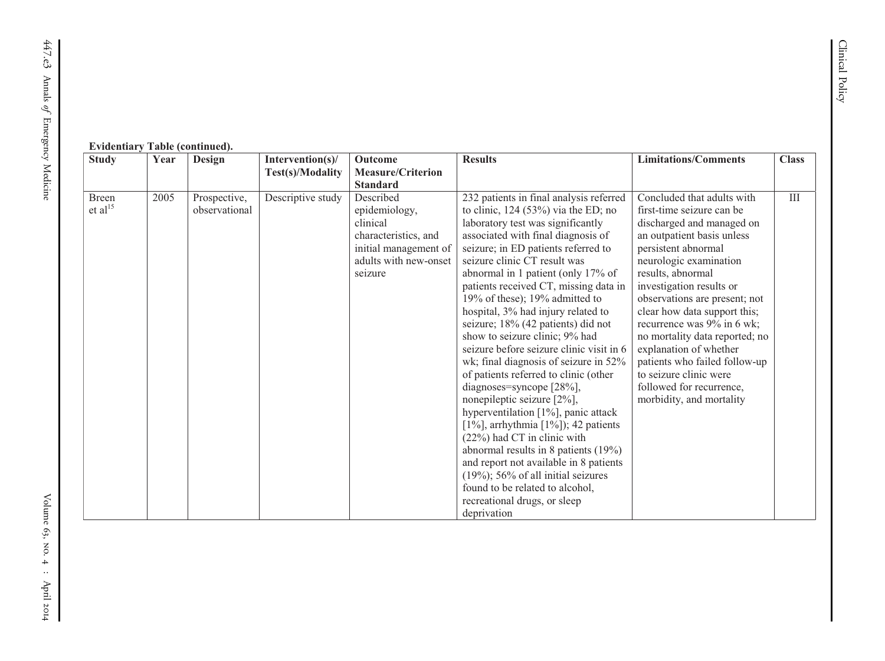| <b>Study</b>        | Year | Design        | Intervention(s)/  | <b>Outcome</b>           | <b>Results</b>                             | <b>Limitations/Comments</b>    | <b>Class</b> |
|---------------------|------|---------------|-------------------|--------------------------|--------------------------------------------|--------------------------------|--------------|
|                     |      |               | Test(s)/Modality  | <b>Measure/Criterion</b> |                                            |                                |              |
|                     |      |               |                   | <b>Standard</b>          |                                            |                                |              |
| <b>Breen</b>        | 2005 | Prospective,  | Descriptive study | Described                | 232 patients in final analysis referred    | Concluded that adults with     | III          |
| et al <sup>15</sup> |      | observational |                   | epidemiology,            | to clinic, $124(53%)$ via the ED; no       | first-time seizure can be      |              |
|                     |      |               |                   | clinical                 | laboratory test was significantly          | discharged and managed on      |              |
|                     |      |               |                   | characteristics, and     | associated with final diagnosis of         | an outpatient basis unless     |              |
|                     |      |               |                   | initial management of    | seizure; in ED patients referred to        | persistent abnormal            |              |
|                     |      |               |                   | adults with new-onset    | seizure clinic CT result was               | neurologic examination         |              |
|                     |      |               |                   | seizure                  | abnormal in 1 patient (only 17% of         | results, abnormal              |              |
|                     |      |               |                   |                          | patients received CT, missing data in      | investigation results or       |              |
|                     |      |               |                   |                          | 19% of these); $19%$ admitted to           | observations are present; not  |              |
|                     |      |               |                   |                          | hospital, 3% had injury related to         | clear how data support this;   |              |
|                     |      |               |                   |                          | seizure; 18% (42 patients) did not         | recurrence was 9% in 6 wk;     |              |
|                     |      |               |                   |                          | show to seizure clinic; 9% had             | no mortality data reported; no |              |
|                     |      |               |                   |                          | seizure before seizure clinic visit in 6   | explanation of whether         |              |
|                     |      |               |                   |                          | wk; final diagnosis of seizure in 52%      | patients who failed follow-up  |              |
|                     |      |               |                   |                          | of patients referred to clinic (other      | to seizure clinic were         |              |
|                     |      |               |                   |                          | diagnoses=syncope [28%],                   | followed for recurrence,       |              |
|                     |      |               |                   |                          | nonepileptic seizure [2%],                 | morbidity, and mortality       |              |
|                     |      |               |                   |                          | hyperventilation $[1\%]$ , panic attack    |                                |              |
|                     |      |               |                   |                          | $[1\%]$ , arrhythmia $[1\%]$ ; 42 patients |                                |              |
|                     |      |               |                   |                          | $(22%)$ had CT in clinic with              |                                |              |
|                     |      |               |                   |                          | abnormal results in 8 patients $(19\%)$    |                                |              |
|                     |      |               |                   |                          | and report not available in 8 patients     |                                |              |
|                     |      |               |                   |                          | $(19\%)$ ; 56% of all initial seizures     |                                |              |
|                     |      |               |                   |                          | found to be related to alcohol,            |                                |              |
|                     |      |               |                   |                          | recreational drugs, or sleep               |                                |              |
|                     |      |               |                   |                          | deprivation                                |                                |              |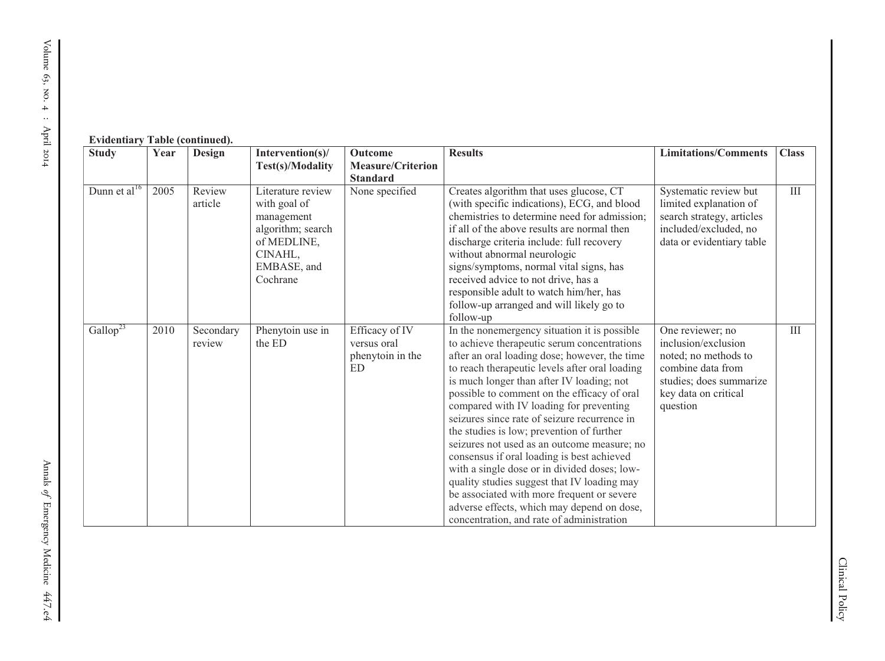| <b>Evidentiary Table (continued).</b> |  |
|---------------------------------------|--|
|                                       |  |

| <b>Study</b>         | Year | <b>Design</b>       | Intervention(s)/<br>Test(s)/Modality                                                                                      | <b>Outcome</b><br><b>Measure/Criterion</b>              | <b>Results</b>                                                                                                                                                                                                                                                                                                                                                                                                                                                                                                                                                                                                                                                                                                                                                          | <b>Limitations/Comments</b>                                                                                                                         | <b>Class</b> |
|----------------------|------|---------------------|---------------------------------------------------------------------------------------------------------------------------|---------------------------------------------------------|-------------------------------------------------------------------------------------------------------------------------------------------------------------------------------------------------------------------------------------------------------------------------------------------------------------------------------------------------------------------------------------------------------------------------------------------------------------------------------------------------------------------------------------------------------------------------------------------------------------------------------------------------------------------------------------------------------------------------------------------------------------------------|-----------------------------------------------------------------------------------------------------------------------------------------------------|--------------|
|                      |      |                     |                                                                                                                           | <b>Standard</b>                                         |                                                                                                                                                                                                                                                                                                                                                                                                                                                                                                                                                                                                                                                                                                                                                                         |                                                                                                                                                     |              |
| Dunn et al $^{16}$   | 2005 | Review<br>article   | Literature review<br>with goal of<br>management<br>algorithm; search<br>of MEDLINE,<br>CINAHL,<br>EMBASE, and<br>Cochrane | None specified                                          | Creates algorithm that uses glucose, CT<br>(with specific indications), ECG, and blood<br>chemistries to determine need for admission;<br>if all of the above results are normal then<br>discharge criteria include: full recovery<br>without abnormal neurologic<br>signs/symptoms, normal vital signs, has<br>received advice to not drive, has a<br>responsible adult to watch him/her, has<br>follow-up arranged and will likely go to<br>follow-up                                                                                                                                                                                                                                                                                                                 | Systematic review but<br>limited explanation of<br>search strategy, articles<br>included/excluded, no<br>data or evidentiary table                  | III          |
| Gallop <sup>23</sup> | 2010 | Secondary<br>review | Phenytoin use in<br>the ED                                                                                                | Efficacy of IV<br>versus oral<br>phenytoin in the<br>ED | In the nonemergency situation it is possible<br>to achieve therapeutic serum concentrations<br>after an oral loading dose; however, the time<br>to reach therapeutic levels after oral loading<br>is much longer than after IV loading; not<br>possible to comment on the efficacy of oral<br>compared with IV loading for preventing<br>seizures since rate of seizure recurrence in<br>the studies is low; prevention of further<br>seizures not used as an outcome measure; no<br>consensus if oral loading is best achieved<br>with a single dose or in divided doses; low-<br>quality studies suggest that IV loading may<br>be associated with more frequent or severe<br>adverse effects, which may depend on dose,<br>concentration, and rate of administration | One reviewer; no<br>inclusion/exclusion<br>noted; no methods to<br>combine data from<br>studies; does summarize<br>key data on critical<br>question | III          |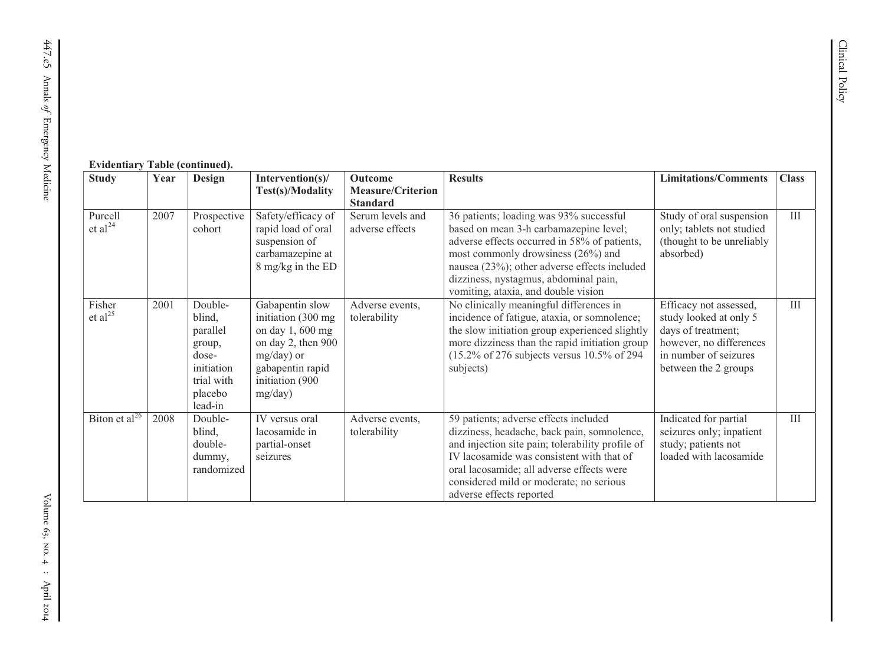| <b>Study</b>              | Year | <b>Design</b>                                                                                      | Intervention(s)/<br>Test(s)/Modality                                                                                                            | Outcome<br><b>Measure/Criterion</b><br><b>Standard</b> | <b>Results</b>                                                                                                                                                                                                                                                                                            | <b>Limitations/Comments</b>                                                                                                                        | <b>Class</b>       |
|---------------------------|------|----------------------------------------------------------------------------------------------------|-------------------------------------------------------------------------------------------------------------------------------------------------|--------------------------------------------------------|-----------------------------------------------------------------------------------------------------------------------------------------------------------------------------------------------------------------------------------------------------------------------------------------------------------|----------------------------------------------------------------------------------------------------------------------------------------------------|--------------------|
| Purcell<br>et al $^{24}$  | 2007 | Prospective<br>cohort                                                                              | Safety/efficacy of<br>rapid load of oral<br>suspension of<br>carbamazepine at<br>8 mg/kg in the ED                                              | Serum levels and<br>adverse effects                    | 36 patients; loading was 93% successful<br>based on mean 3-h carbamazepine level;<br>adverse effects occurred in 58% of patients,<br>most commonly drowsiness $(26%)$ and<br>nausea (23%); other adverse effects included<br>dizziness, nystagmus, abdominal pain,<br>vomiting, ataxia, and double vision | Study of oral suspension<br>only; tablets not studied<br>(thought to be unreliably<br>absorbed)                                                    | $\mathop{\rm III}$ |
| Fisher<br>et al $^{25}$   | 2001 | Double-<br>blind,<br>parallel<br>group,<br>dose-<br>initiation<br>trial with<br>placebo<br>lead-in | Gabapentin slow<br>initiation (300 mg<br>on day 1, 600 mg<br>on day 2, then 900<br>mg/day) or<br>gabapentin rapid<br>initiation (900<br>mg/day) | Adverse events,<br>tolerability                        | No clinically meaningful differences in<br>incidence of fatigue, ataxia, or somnolence;<br>the slow initiation group experienced slightly<br>more dizziness than the rapid initiation group<br>$(15.2\% \text{ of } 276 \text{ subjects versus } 10.5\% \text{ of } 294)$<br>subjects)                    | Efficacy not assessed,<br>study looked at only 5<br>days of treatment;<br>however, no differences<br>in number of seizures<br>between the 2 groups | $\mathop{\rm III}$ |
| Biton et al <sup>26</sup> | 2008 | Double-<br>blind,<br>double-<br>dummy,<br>randomized                                               | IV versus oral<br>lacosamide in<br>partial-onset<br>seizures                                                                                    | Adverse events,<br>tolerability                        | 59 patients; adverse effects included<br>dizziness, headache, back pain, somnolence,<br>and injection site pain; tolerability profile of<br>IV lacosamide was consistent with that of<br>oral lacosamide; all adverse effects were<br>considered mild or moderate; no serious<br>adverse effects reported | Indicated for partial<br>seizures only; inpatient<br>study; patients not<br>loaded with lacosamide                                                 | III                |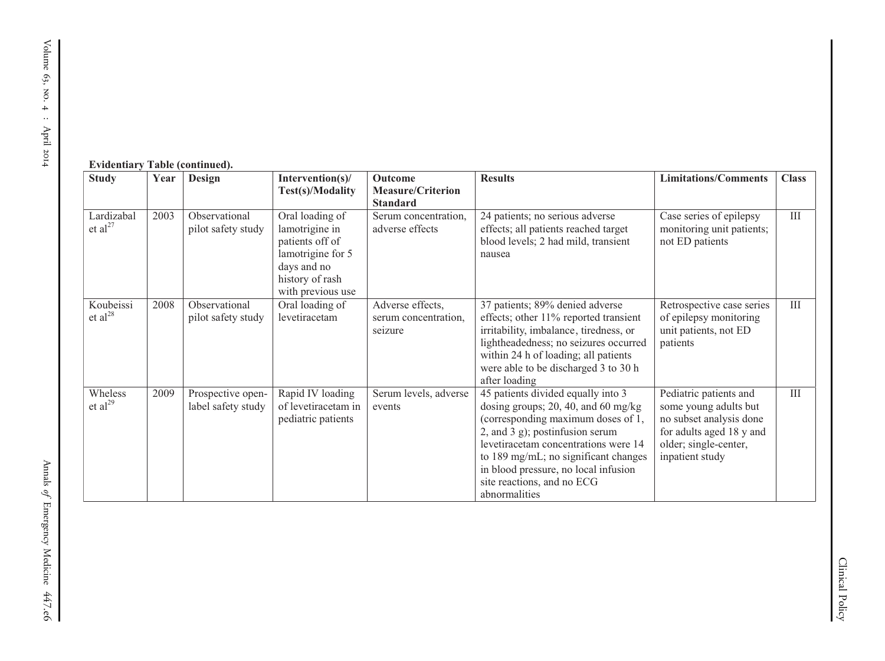|  | Evidenti     |
|--|--------------|
|  | <b>Study</b> |
|  |              |

| <b>Study</b>                      | Year | <b>Design</b>                           | Intervention(s)/<br>Test(s)/Modality                                                                                             | <b>Outcome</b><br><b>Measure/Criterion</b><br><b>Standard</b> | <b>Results</b>                                                                                                                                                                                                                                                                                                            | <b>Limitations/Comments</b>                                                                                                                        | <b>Class</b> |
|-----------------------------------|------|-----------------------------------------|----------------------------------------------------------------------------------------------------------------------------------|---------------------------------------------------------------|---------------------------------------------------------------------------------------------------------------------------------------------------------------------------------------------------------------------------------------------------------------------------------------------------------------------------|----------------------------------------------------------------------------------------------------------------------------------------------------|--------------|
| Lardizabal<br>et al <sup>27</sup> | 2003 | Observational<br>pilot safety study     | Oral loading of<br>lamotrigine in<br>patients off of<br>lamotrigine for 5<br>days and no<br>history of rash<br>with previous use | Serum concentration,<br>adverse effects                       | 24 patients; no serious adverse<br>effects; all patients reached target<br>blood levels; 2 had mild, transient<br>nausea                                                                                                                                                                                                  | Case series of epilepsy<br>monitoring unit patients;<br>not ED patients                                                                            | III          |
| Koubeissi<br>et al <sup>28</sup>  | 2008 | Observational<br>pilot safety study     | Oral loading of<br>levetiracetam                                                                                                 | Adverse effects,<br>serum concentration,<br>seizure           | 37 patients; 89% denied adverse<br>effects; other 11% reported transient<br>irritability, imbalance, tiredness, or<br>lightheadedness; no seizures occurred<br>within 24 h of loading; all patients<br>were able to be discharged 3 to 30 h<br>after loading                                                              | Retrospective case series<br>of epilepsy monitoring<br>unit patients, not ED<br>patients                                                           | III          |
| Wheless<br>et al <sup>29</sup>    | 2009 | Prospective open-<br>label safety study | Rapid IV loading<br>of levetiracetam in<br>pediatric patients                                                                    | Serum levels, adverse<br>events                               | 45 patients divided equally into 3<br>dosing groups; 20, 40, and 60 mg/kg<br>(corresponding maximum doses of 1,<br>2, and 3 g); postinfusion serum<br>levetiracetam concentrations were 14<br>to 189 mg/mL; no significant changes<br>in blood pressure, no local infusion<br>site reactions, and no ECG<br>abnormalities | Pediatric patients and<br>some young adults but<br>no subset analysis done<br>for adults aged 18 y and<br>older; single-center,<br>inpatient study | III          |

# **Evaluary Table (continued).**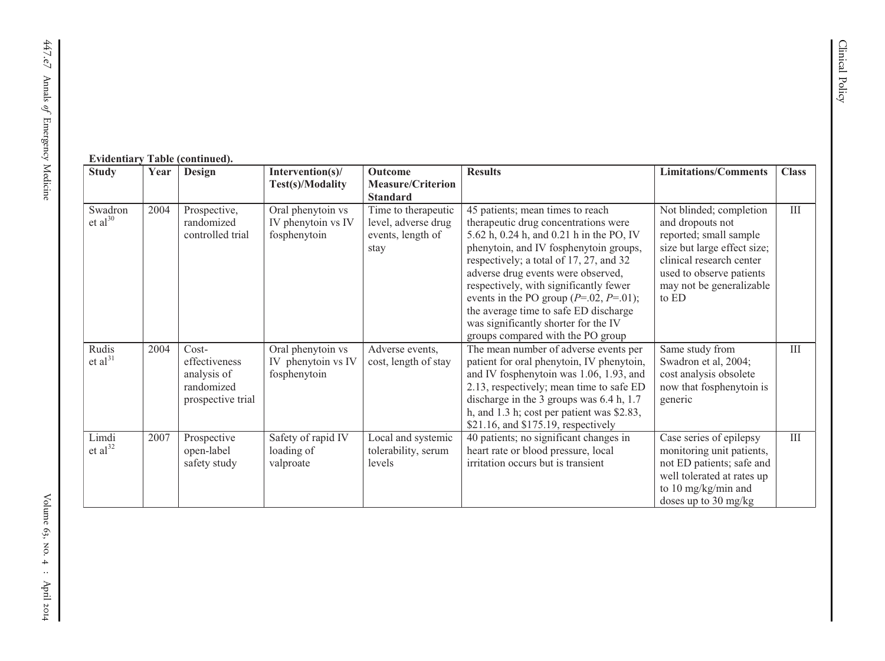|                              | <b>Evidentiary Table (continued).</b> |                           |                    |                          |                                                                                      |                                                |              |  |  |
|------------------------------|---------------------------------------|---------------------------|--------------------|--------------------------|--------------------------------------------------------------------------------------|------------------------------------------------|--------------|--|--|
| <b>Study</b>                 | Year                                  | Design                    | Intervention(s)/   | <b>Outcome</b>           | <b>Results</b>                                                                       | <b>Limitations/Comments</b>                    | <b>Class</b> |  |  |
|                              |                                       |                           | Test(s)/Modality   | <b>Measure/Criterion</b> |                                                                                      |                                                |              |  |  |
|                              |                                       |                           |                    | <b>Standard</b>          |                                                                                      |                                                |              |  |  |
| Swadron                      | 2004                                  | Prospective,              | Oral phenytoin vs  | Time to therapeutic      | 45 patients; mean times to reach                                                     | Not blinded; completion                        | III          |  |  |
| et al <sup>30</sup>          |                                       | randomized                | IV phenytoin vs IV | level, adverse drug      | therapeutic drug concentrations were                                                 | and dropouts not                               |              |  |  |
|                              |                                       | controlled trial          | fosphenytoin       | events, length of        | 5.62 h, 0.24 h, and 0.21 h in the PO, IV                                             | reported; small sample                         |              |  |  |
|                              |                                       |                           |                    | stay                     | phenytoin, and IV fosphenytoin groups,                                               | size but large effect size;                    |              |  |  |
|                              |                                       |                           |                    |                          | respectively; a total of 17, 27, and 32                                              | clinical research center                       |              |  |  |
|                              |                                       |                           |                    |                          | adverse drug events were observed,                                                   | used to observe patients                       |              |  |  |
|                              |                                       |                           |                    |                          | respectively, with significantly fewer                                               | may not be generalizable                       |              |  |  |
|                              |                                       |                           |                    |                          | events in the PO group $(P=0.02, P=0.01)$ ;                                          | to ED                                          |              |  |  |
|                              |                                       |                           |                    |                          | the average time to safe ED discharge                                                |                                                |              |  |  |
|                              |                                       |                           |                    |                          | was significantly shorter for the IV                                                 |                                                |              |  |  |
|                              |                                       |                           |                    |                          | groups compared with the PO group                                                    |                                                |              |  |  |
| Rudis<br>et al <sup>31</sup> | 2004                                  | $Cost-$<br>effectiveness  | Oral phenytoin vs  | Adverse events,          | The mean number of adverse events per                                                | Same study from                                | III          |  |  |
|                              |                                       |                           | IV phenytoin vs IV | cost, length of stay     | patient for oral phenytoin, IV phenytoin,<br>and IV fosphenytoin was 1.06, 1.93, and | Swadron et al, 2004;<br>cost analysis obsolete |              |  |  |
|                              |                                       | analysis of<br>randomized | fosphenytoin       |                          | 2.13, respectively; mean time to safe ED                                             | now that fosphenytoin is                       |              |  |  |
|                              |                                       | prospective trial         |                    |                          | discharge in the 3 groups was 6.4 h, 1.7                                             | generic                                        |              |  |  |
|                              |                                       |                           |                    |                          | h, and 1.3 h; cost per patient was \$2.83,                                           |                                                |              |  |  |
|                              |                                       |                           |                    |                          | \$21.16, and \$175.19, respectively                                                  |                                                |              |  |  |
| Limdi                        | 2007                                  | Prospective               | Safety of rapid IV | Local and systemic       | 40 patients; no significant changes in                                               | Case series of epilepsy                        | III          |  |  |
| et $al^{32}$                 |                                       | open-label                | loading of         | tolerability, serum      | heart rate or blood pressure, local                                                  | monitoring unit patients,                      |              |  |  |
|                              |                                       | safety study              | valproate          | levels                   | irritation occurs but is transient                                                   | not ED patients; safe and                      |              |  |  |
|                              |                                       |                           |                    |                          |                                                                                      | well tolerated at rates up                     |              |  |  |
|                              |                                       |                           |                    |                          |                                                                                      | to 10 mg/kg/min and                            |              |  |  |
|                              |                                       |                           |                    |                          |                                                                                      | doses up to $30 \text{ mg/kg}$                 |              |  |  |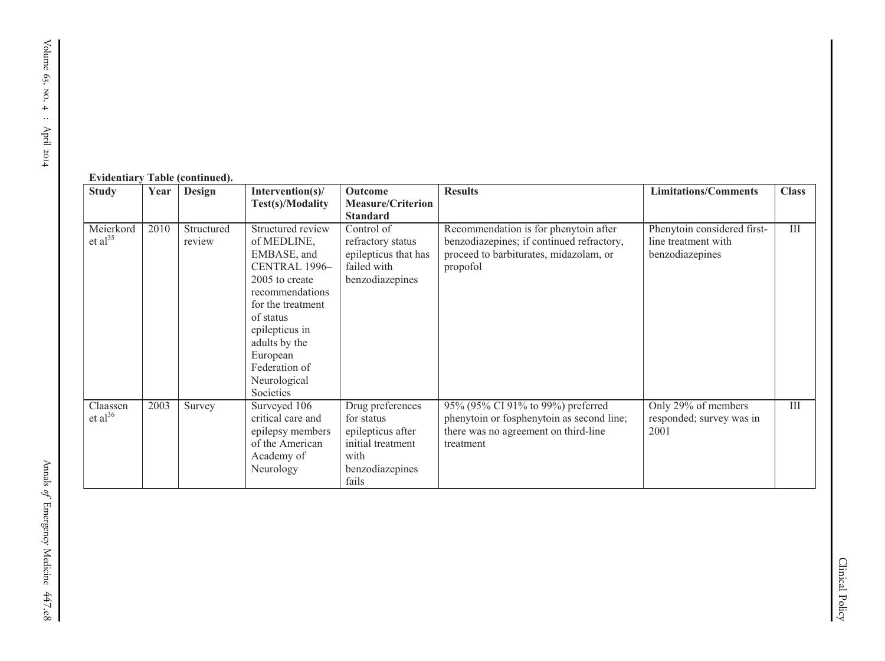|                                  | Evidentiary Table (continued). |                      |                                                                                                                                                                                                                                      |                                                                                                              |                                                                                                                                          |                                                                       |              |  |  |
|----------------------------------|--------------------------------|----------------------|--------------------------------------------------------------------------------------------------------------------------------------------------------------------------------------------------------------------------------------|--------------------------------------------------------------------------------------------------------------|------------------------------------------------------------------------------------------------------------------------------------------|-----------------------------------------------------------------------|--------------|--|--|
| <b>Study</b>                     | Year                           | Design               | Intervention(s)/<br>Test(s)/Modality                                                                                                                                                                                                 | <b>Outcome</b><br><b>Measure/Criterion</b><br><b>Standard</b>                                                | <b>Results</b>                                                                                                                           | <b>Limitations/Comments</b>                                           | <b>Class</b> |  |  |
| Meierkord<br>et al <sup>35</sup> | 2010                           | Structured<br>review | Structured review<br>of MEDLINE.<br>EMBASE, and<br>CENTRAL 1996-<br>2005 to create<br>recommendations<br>for the treatment<br>of status<br>epilepticus in<br>adults by the<br>European<br>Federation of<br>Neurological<br>Societies | Control of<br>refractory status<br>epilepticus that has<br>failed with<br>benzodiazepines                    | Recommendation is for phenytoin after<br>benzodiazepines; if continued refractory,<br>proceed to barbiturates, midazolam, or<br>propofol | Phenytoin considered first-<br>line treatment with<br>benzodiazepines | III          |  |  |
| Claassen<br>et al <sup>36</sup>  | 2003                           | Survey               | Surveyed 106<br>critical care and<br>epilepsy members<br>of the American<br>Academy of<br>Neurology                                                                                                                                  | Drug preferences<br>for status<br>epilepticus after<br>initial treatment<br>with<br>benzodiazepines<br>fails | 95% (95% CI 91% to 99%) preferred<br>phenytoin or fosphenytoin as second line;<br>there was no agreement on third-line<br>treatment      | Only 29% of members<br>responded; survey was in<br>2001               | III          |  |  |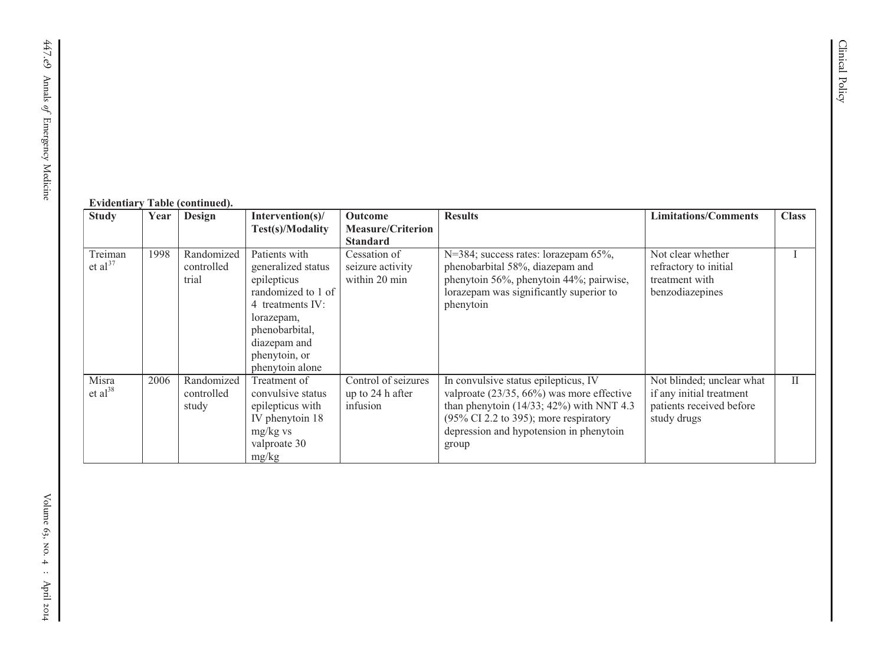| <b>Study</b>                   | Year | 1.001<br><b>Design</b>            | Intervention(s)/                                                                                                                                                                 | <b>Outcome</b>                                      | <b>Results</b>                                                                                                                                                                                                                                         | <b>Limitations/Comments</b>                                                                      | <b>Class</b> |
|--------------------------------|------|-----------------------------------|----------------------------------------------------------------------------------------------------------------------------------------------------------------------------------|-----------------------------------------------------|--------------------------------------------------------------------------------------------------------------------------------------------------------------------------------------------------------------------------------------------------------|--------------------------------------------------------------------------------------------------|--------------|
|                                |      |                                   | Test(s)/Modality                                                                                                                                                                 | <b>Measure/Criterion</b>                            |                                                                                                                                                                                                                                                        |                                                                                                  |              |
|                                |      |                                   |                                                                                                                                                                                  | <b>Standard</b>                                     |                                                                                                                                                                                                                                                        |                                                                                                  |              |
| Treiman<br>et al <sup>37</sup> | 1998 | Randomized<br>controlled<br>trial | Patients with<br>generalized status<br>epilepticus<br>randomized to 1 of<br>4 treatments IV:<br>lorazepam,<br>phenobarbital,<br>diazepam and<br>phenytoin, or<br>phenytoin alone | Cessation of<br>seizure activity<br>within 20 min   | N=384; success rates: lorazepam 65%,<br>phenobarbital 58%, diazepam and<br>phenytoin 56%, phenytoin 44%; pairwise,<br>lorazepam was significantly superior to<br>phenytoin                                                                             | Not clear whether<br>refractory to initial<br>treatment with<br>benzodiazepines                  |              |
| Misra<br>$et al^{38}$          | 2006 | Randomized<br>controlled<br>study | Treatment of<br>convulsive status<br>epilepticus with<br>IV phenytoin 18<br>$mg/kg$ vs<br>valproate 30<br>mg/kg                                                                  | Control of seizures<br>up to 24 h after<br>infusion | In convulsive status epilepticus, IV<br>valproate $(23/35, 66\%)$ was more effective<br>than phenytoin $(14/33; 42\%)$ with NNT 4.3<br>$(95\% \text{ CI } 2.2 \text{ to } 395)$ ; more respiratory<br>depression and hypotension in phenytoin<br>group | Not blinded; unclear what<br>if any initial treatment<br>patients received before<br>study drugs | $\rm II$     |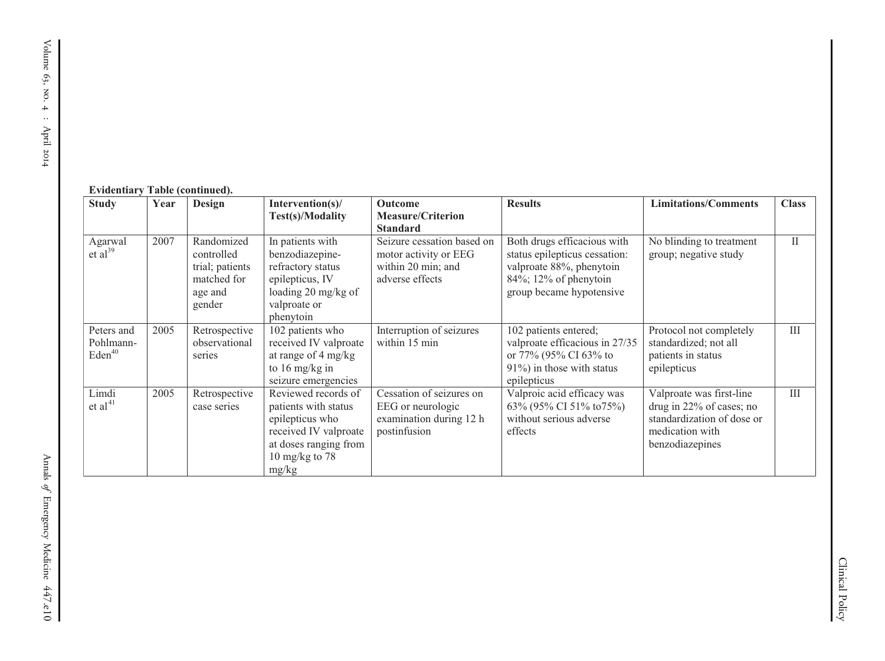| <b>Study</b>                     | Year | Design                                                                | Intervention(s)/<br>Test(s)/Modality                                                                                                          | <b>Outcome</b><br><b>Measure/Criterion</b>                                                                      | <b>Results</b>                                                                                                                                    | <b>Limitations/Comments</b>                                                                                              | <b>Class</b>       |
|----------------------------------|------|-----------------------------------------------------------------------|-----------------------------------------------------------------------------------------------------------------------------------------------|-----------------------------------------------------------------------------------------------------------------|---------------------------------------------------------------------------------------------------------------------------------------------------|--------------------------------------------------------------------------------------------------------------------------|--------------------|
| Agarwal<br>$et$ al <sup>39</sup> | 2007 | Randomized<br>controlled<br>trial; patients<br>matched for<br>age and | In patients with<br>benzodiazepine-<br>refractory status<br>epilepticus, IV<br>loading 20 mg/kg of                                            | <b>Standard</b><br>Seizure cessation based on<br>motor activity or EEG<br>within 20 min; and<br>adverse effects | Both drugs efficacious with<br>status epilepticus cessation:<br>valproate 88%, phenytoin<br>$84\%$ ; 12% of phenytoin<br>group became hypotensive | No blinding to treatment<br>group; negative study                                                                        | $\mathbf{I}$       |
| Peters and                       | 2005 | gender<br>Retrospective                                               | valproate or<br>phenytoin<br>102 patients who                                                                                                 | Interruption of seizures                                                                                        | 102 patients entered;                                                                                                                             | Protocol not completely                                                                                                  | $\mathop{\rm III}$ |
| Pohlmann-<br>Eden <sup>40</sup>  |      | observational<br>series                                               | received IV valproate<br>at range of 4 mg/kg<br>to $16 \text{ mg/kg}$ in<br>seizure emergencies                                               | within 15 min                                                                                                   | valproate efficacious in 27/35<br>or 77% (95% CI 63% to<br>$91\%$ ) in those with status<br>epilepticus                                           | standardized; not all<br>patients in status<br>epilepticus                                                               |                    |
| Limdi<br>et al <sup>41</sup>     | 2005 | Retrospective<br>case series                                          | Reviewed records of<br>patients with status<br>epilepticus who<br>received IV valproate<br>at doses ranging from<br>10 mg/kg to $78$<br>mg/kg | Cessation of seizures on<br>EEG or neurologic<br>examination during 12 h<br>postinfusion                        | Valproic acid efficacy was<br>63% (95% CI 51% to 75%)<br>without serious adverse<br>effects                                                       | Valproate was first-line<br>drug in 22% of cases; no<br>standardization of dose or<br>medication with<br>benzodiazepines | $\mathop{\rm III}$ |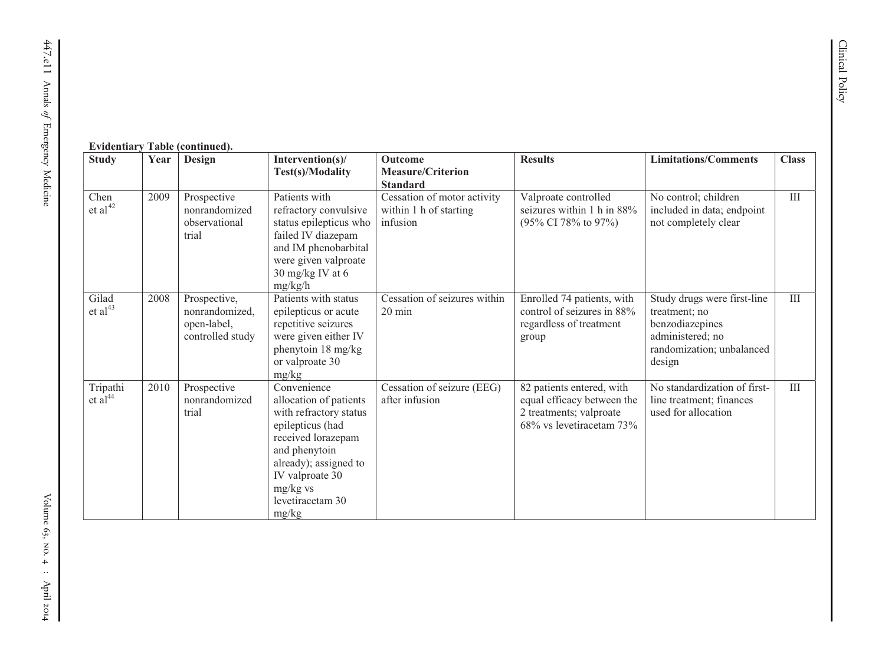|                              |      | EVIGHUAL V TADIC (CONTINUED).                                     |                                                                                                                                                                                                                 |                                                                                      |                                                                                                                |                                                                                                                            |              |
|------------------------------|------|-------------------------------------------------------------------|-----------------------------------------------------------------------------------------------------------------------------------------------------------------------------------------------------------------|--------------------------------------------------------------------------------------|----------------------------------------------------------------------------------------------------------------|----------------------------------------------------------------------------------------------------------------------------|--------------|
| <b>Study</b>                 | Year | Design                                                            | Intervention(s)/<br>Test(s)/Modality                                                                                                                                                                            | Outcome<br><b>Measure/Criterion</b>                                                  | <b>Results</b>                                                                                                 | <b>Limitations/Comments</b>                                                                                                | <b>Class</b> |
| Chen<br>et al <sup>42</sup>  | 2009 | Prospective<br>nonrandomized<br>observational<br>trial            | Patients with<br>refractory convulsive<br>status epilepticus who<br>failed IV diazepam<br>and IM phenobarbital<br>were given valproate<br>30 mg/kg IV at 6<br>mg/kg/h                                           | <b>Standard</b><br>Cessation of motor activity<br>within 1 h of starting<br>infusion | Valproate controlled<br>seizures within 1 h in 88%<br>$(95\% \text{ CI } 78\% \text{ to } 97\%)$               | No control; children<br>included in data; endpoint<br>not completely clear                                                 | III          |
| Gilad<br>et al <sup>43</sup> | 2008 | Prospective,<br>nonrandomized,<br>open-label,<br>controlled study | Patients with status<br>epilepticus or acute<br>repetitive seizures<br>were given either IV<br>phenytoin 18 mg/kg<br>or valproate 30<br>mg/kg                                                                   | Cessation of seizures within<br>$20 \text{ min}$                                     | Enrolled 74 patients, with<br>control of seizures in 88%<br>regardless of treatment<br>group                   | Study drugs were first-line<br>treatment; no<br>benzodiazepines<br>administered; no<br>randomization; unbalanced<br>design | III          |
| Tripathi<br>$et$ $a1^{44}$   | 2010 | Prospective<br>nonrandomized<br>trial                             | Convenience<br>allocation of patients<br>with refractory status<br>epilepticus (had<br>received lorazepam<br>and phenytoin<br>already); assigned to<br>IV valproate 30<br>mg/kg vs<br>levetiracetam 30<br>mg/kg | Cessation of seizure (EEG)<br>after infusion                                         | 82 patients entered, with<br>equal efficacy between the<br>2 treatments; valproate<br>68% vs levetiracetam 73% | No standardization of first-<br>line treatment; finances<br>used for allocation                                            | $\rm III$    |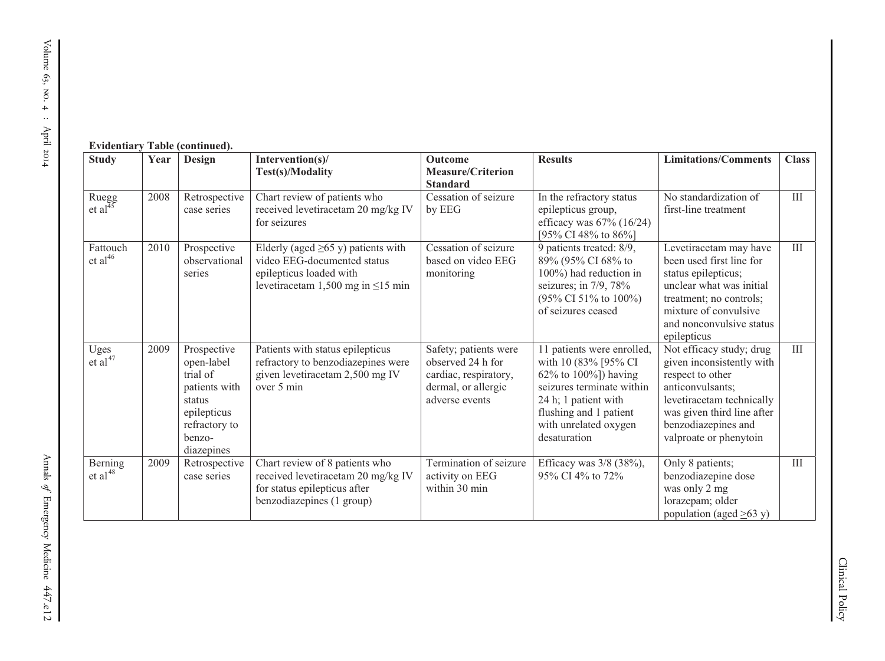| <b>Evidentiary Table (continued).</b> |      |                                                                                                                          |                                                                                                                                               |                                                                                                              |                                                                                                                                                                                                    |                                                                                                                                                                                                           |              |  |  |
|---------------------------------------|------|--------------------------------------------------------------------------------------------------------------------------|-----------------------------------------------------------------------------------------------------------------------------------------------|--------------------------------------------------------------------------------------------------------------|----------------------------------------------------------------------------------------------------------------------------------------------------------------------------------------------------|-----------------------------------------------------------------------------------------------------------------------------------------------------------------------------------------------------------|--------------|--|--|
| <b>Study</b>                          | Year | Design                                                                                                                   | Intervention(s)/<br>Test(s)/Modality                                                                                                          | <b>Outcome</b><br><b>Measure/Criterion</b><br><b>Standard</b>                                                | <b>Results</b>                                                                                                                                                                                     | <b>Limitations/Comments</b>                                                                                                                                                                               | <b>Class</b> |  |  |
| Ruegg et al <sup>45</sup>             | 2008 | Retrospective<br>case series                                                                                             | Chart review of patients who<br>received levetiracetam 20 mg/kg IV<br>for seizures                                                            | Cessation of seizure<br>by EEG                                                                               | In the refractory status<br>epilepticus group,<br>efficacy was $67\%$ (16/24)<br>[95% CI 48% to 86%]                                                                                               | No standardization of<br>first-line treatment                                                                                                                                                             | $\rm III$    |  |  |
| Fattouch<br>et al <sup>46</sup>       | 2010 | Prospective<br>observational<br>series                                                                                   | Elderly (aged $\geq 65$ y) patients with<br>video EEG-documented status<br>epilepticus loaded with<br>levetiracetam 1,500 mg in $\leq$ 15 min | Cessation of seizure<br>based on video EEG<br>monitoring                                                     | 9 patients treated: 8/9,<br>89% (95% CI 68% to<br>100%) had reduction in<br>seizures; in $7/9$ , $78\%$<br>$(95\% \text{ CI } 51\% \text{ to } 100\%)$<br>of seizures ceased                       | Levetiracetam may have<br>been used first line for<br>status epilepticus;<br>unclear what was initial<br>treatment; no controls;<br>mixture of convulsive<br>and nonconvulsive status<br>epilepticus      | $\rm III$    |  |  |
| Uges<br>$et$ al <sup>47</sup>         | 2009 | Prospective<br>open-label<br>trial of<br>patients with<br>status<br>epilepticus<br>refractory to<br>benzo-<br>diazepines | Patients with status epilepticus<br>refractory to benzodiazepines were<br>given levetiracetam 2,500 mg IV<br>over 5 min                       | Safety; patients were<br>observed 24 h for<br>cardiac, respiratory,<br>dermal, or allergic<br>adverse events | 11 patients were enrolled,<br>with 10 (83% [95% CI<br>62% to 100%]) having<br>seizures terminate within<br>24 h; 1 patient with<br>flushing and 1 patient<br>with unrelated oxygen<br>desaturation | Not efficacy study; drug<br>given inconsistently with<br>respect to other<br>anticonvulsants;<br>levetiracetam technically<br>was given third line after<br>benzodiazepines and<br>valproate or phenytoin | $\rm III$    |  |  |
| Berning<br>et al <sup>48</sup>        | 2009 | Retrospective<br>case series                                                                                             | Chart review of 8 patients who<br>received levetiracetam 20 mg/kg IV<br>for status epilepticus after<br>benzodiazepines (1 group)             | Termination of seizure<br>activity on EEG<br>within 30 min                                                   | Efficacy was $3/8$ (38%),<br>95% CI 4% to 72%                                                                                                                                                      | Only 8 patients;<br>benzodiazepine dose<br>was only 2 mg<br>lorazepam; older<br>population (aged $\geq 63$ y)                                                                                             | III          |  |  |

H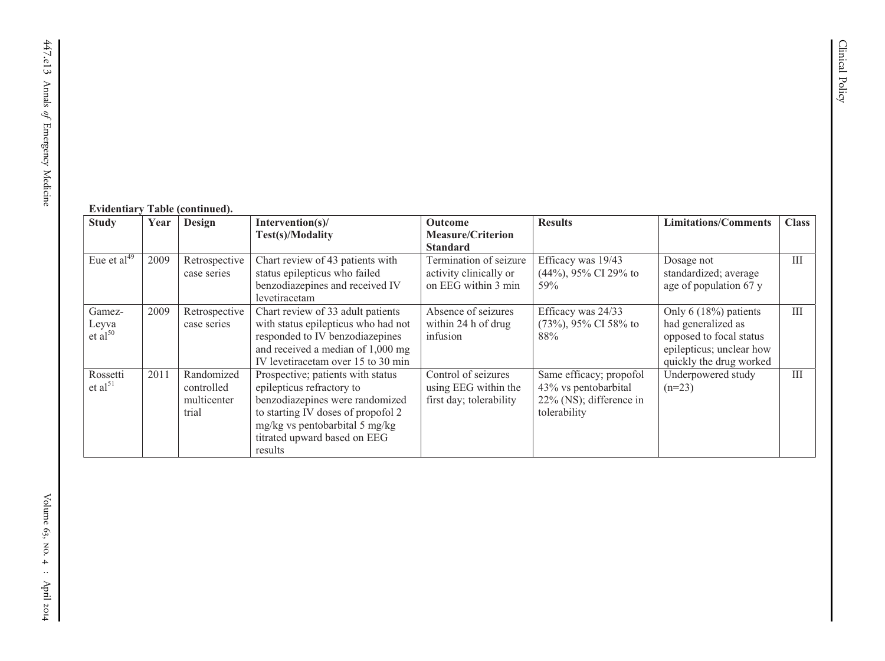447.e13

| вушеннагу тарк усопшиси).              |      |                                                  |                                                                                                                                                                                                                        |                                                                         |                                                                                               |                                                                                                                                  |              |
|----------------------------------------|------|--------------------------------------------------|------------------------------------------------------------------------------------------------------------------------------------------------------------------------------------------------------------------------|-------------------------------------------------------------------------|-----------------------------------------------------------------------------------------------|----------------------------------------------------------------------------------------------------------------------------------|--------------|
| <b>Study</b>                           | Year | Design                                           | Intervention( $s$ )/                                                                                                                                                                                                   | <b>Outcome</b>                                                          | <b>Results</b>                                                                                | <b>Limitations/Comments</b>                                                                                                      | <b>Class</b> |
|                                        |      |                                                  | Test(s)/Modality                                                                                                                                                                                                       | <b>Measure/Criterion</b>                                                |                                                                                               |                                                                                                                                  |              |
|                                        |      |                                                  |                                                                                                                                                                                                                        | <b>Standard</b>                                                         |                                                                                               |                                                                                                                                  |              |
| Eue et $\overline{al^{49}}$            | 2009 | Retrospective<br>case series                     | Chart review of 43 patients with<br>status epilepticus who failed<br>benzodiazepines and received IV<br>levetiracetam                                                                                                  | Termination of seizure<br>activity clinically or<br>on EEG within 3 min | Efficacy was 19/43<br>$(44\%)$ , 95% CI 29% to<br>59%                                         | Dosage not<br>standardized; average<br>age of population 67 y                                                                    | III          |
| Gamez-<br>Leyva<br>et al <sup>50</sup> | 2009 | Retrospective<br>case series                     | Chart review of 33 adult patients<br>with status epilepticus who had not<br>responded to IV benzodiazepines<br>and received a median of 1,000 mg<br>IV levetiracetam over 15 to 30 min                                 | Absence of seizures<br>within 24 h of drug<br>infusion                  | Efficacy was 24/33<br>$(73\%)$ , 95% CI 58% to<br>88%                                         | Only 6 $(18\%)$ patients<br>had generalized as<br>opposed to focal status<br>epilepticus; unclear how<br>quickly the drug worked | III          |
| Rossetti<br>et al <sup>51</sup>        | 2011 | Randomized<br>controlled<br>multicenter<br>trial | Prospective; patients with status<br>epilepticus refractory to<br>benzodiazepines were randomized<br>to starting IV doses of propofol 2<br>$mg/kg$ vs pentobarbital 5 mg/kg<br>titrated upward based on EEG<br>results | Control of seizures<br>using EEG within the<br>first day; tolerability  | Same efficacy; propofol<br>43% vs pentobarbital<br>$22\%$ (NS); difference in<br>tolerability | Underpowered study<br>$(n=23)$                                                                                                   | III          |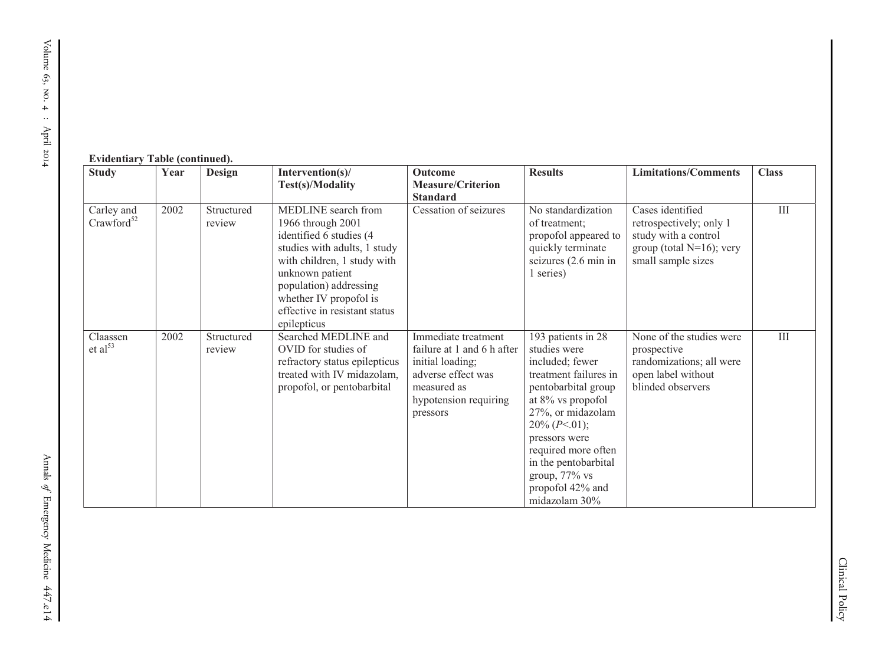| $100.4$ Mo. 4 |  |
|---------------|--|
|               |  |
|               |  |
| April 2014    |  |
|               |  |

| <b>Study</b>                         | Year | <b>Design</b>        | Intervention(s)/<br>Test(s)/Modality                                                                                                                                                                                                                      | <b>Outcome</b><br><b>Measure/Criterion</b><br><b>Standard</b>                                                                                   | <b>Results</b>                                                                                                                                                                                                                                                                           | <b>Limitations/Comments</b>                                                                                              | <b>Class</b>       |
|--------------------------------------|------|----------------------|-----------------------------------------------------------------------------------------------------------------------------------------------------------------------------------------------------------------------------------------------------------|-------------------------------------------------------------------------------------------------------------------------------------------------|------------------------------------------------------------------------------------------------------------------------------------------------------------------------------------------------------------------------------------------------------------------------------------------|--------------------------------------------------------------------------------------------------------------------------|--------------------|
| Carley and<br>Crawford <sup>52</sup> | 2002 | Structured<br>review | MEDLINE search from<br>1966 through 2001<br>identified 6 studies (4<br>studies with adults, 1 study<br>with children, 1 study with<br>unknown patient<br>population) addressing<br>whether IV propofol is<br>effective in resistant status<br>epilepticus | Cessation of seizures                                                                                                                           | No standardization<br>of treatment:<br>propofol appeared to<br>quickly terminate<br>seizures (2.6 min in<br>1 series)                                                                                                                                                                    | Cases identified<br>retrospectively; only 1<br>study with a control<br>group (total $N=16$ ); very<br>small sample sizes | $\mathop{\rm III}$ |
| Claassen<br>et al <sup>53</sup>      | 2002 | Structured<br>review | Searched MEDLINE and<br>OVID for studies of<br>refractory status epilepticus<br>treated with IV midazolam,<br>propofol, or pentobarbital                                                                                                                  | Immediate treatment<br>failure at 1 and 6 h after<br>initial loading;<br>adverse effect was<br>measured as<br>hypotension requiring<br>pressors | 193 patients in 28<br>studies were<br>included; fewer<br>treatment failures in<br>pentobarbital group<br>at 8% vs propofol<br>27%, or midazolam<br>$20\%$ (P<.01);<br>pressors were<br>required more often<br>in the pentobarbital<br>group, 77% vs<br>propofol 42% and<br>midazolam 30% | None of the studies were<br>prospective<br>randomizations; all were<br>open label without<br>blinded observers           | $\mathop{\rm III}$ |